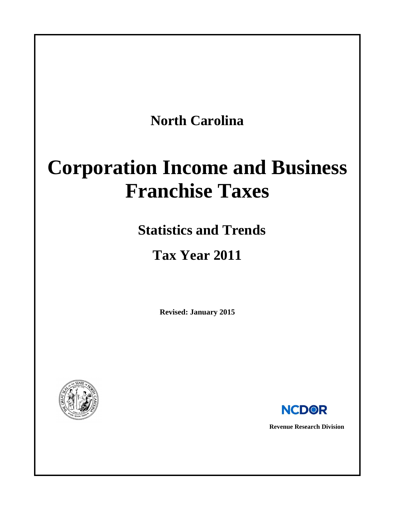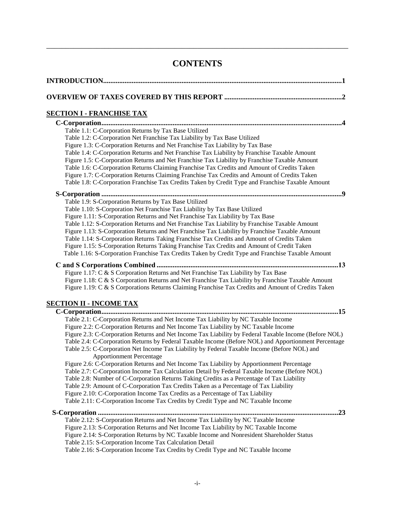# **CONTENTS**

\_\_\_\_\_\_\_\_\_\_\_\_\_\_\_\_\_\_\_\_\_\_\_\_\_\_\_\_\_\_\_\_\_\_\_\_\_\_\_\_\_\_\_\_\_\_\_\_\_\_\_\_\_\_\_\_\_\_\_\_\_\_\_\_\_\_\_\_\_\_\_\_\_\_\_\_\_\_

| <b>SECTION I - FRANCHISE TAX</b>                                                                                                                                                                 |
|--------------------------------------------------------------------------------------------------------------------------------------------------------------------------------------------------|
|                                                                                                                                                                                                  |
| Table 1.1: C-Corporation Returns by Tax Base Utilized                                                                                                                                            |
| Table 1.2: C-Corporation Net Franchise Tax Liability by Tax Base Utilized                                                                                                                        |
| Figure 1.3: C-Corporation Returns and Net Franchise Tax Liability by Tax Base                                                                                                                    |
| Table 1.4: C-Corporation Returns and Net Franchise Tax Liability by Franchise Taxable Amount                                                                                                     |
| Figure 1.5: C-Corporation Returns and Net Franchise Tax Liability by Franchise Taxable Amount                                                                                                    |
| Table 1.6: C-Corporation Returns Claiming Franchise Tax Credits and Amount of Credits Taken                                                                                                      |
| Figure 1.7: C-Corporation Returns Claiming Franchise Tax Credits and Amount of Credits Taken<br>Table 1.8: C-Corporation Franchise Tax Credits Taken by Credit Type and Franchise Taxable Amount |
|                                                                                                                                                                                                  |
| Table 1.9: S-Corporation Returns by Tax Base Utilized                                                                                                                                            |
| Table 1.10: S-Corporation Net Franchise Tax Liability by Tax Base Utilized                                                                                                                       |
| Figure 1.11: S-Corporation Returns and Net Franchise Tax Liability by Tax Base                                                                                                                   |
| Table 1.12: S-Corporation Returns and Net Franchise Tax Liability by Franchise Taxable Amount                                                                                                    |
| Figure 1.13: S-Corporation Returns and Net Franchise Tax Liability by Franchise Taxable Amount                                                                                                   |
| Table 1.14: S-Corporation Returns Taking Franchise Tax Credits and Amount of Credits Taken                                                                                                       |
| Figure 1.15: S-Corporation Returns Taking Franchise Tax Credits and Amount of Credit Taken<br>Table 1.16: S-Corporation Franchise Tax Credits Taken by Credit Type and Franchise Taxable Amount  |
|                                                                                                                                                                                                  |
|                                                                                                                                                                                                  |
| Figure 1.17: C & S Corporation Returns and Net Franchise Tax Liability by Tax Base                                                                                                               |
| Figure 1.18: C & S Corporation Returns and Net Franchise Tax Liability by Franchise Taxable Amount                                                                                               |
| Figure 1.19: C & S Corporations Returns Claiming Franchise Tax Credits and Amount of Credits Taken                                                                                               |
| <u>SECTION II - INCOME TAX</u>                                                                                                                                                                   |
|                                                                                                                                                                                                  |
| Table 2.1: C-Corporation Returns and Net Income Tax Liability by NC Taxable Income                                                                                                               |
| Figure 2.2: C-Corporation Returns and Net Income Tax Liability by NC Taxable Income                                                                                                              |
| Figure 2.3: C-Corporation Returns and Net Income Tax Liability by Federal Taxable Income (Before NOL)                                                                                            |
| Table 2.4: C-Corporation Returns by Federal Taxable Income (Before NOL) and Apportionment Percentage                                                                                             |
| Table 2.5: C-Corporation Net Income Tax Liability by Federal Taxable Income (Before NOL) and<br><b>Apportionment Percentage</b>                                                                  |
| Figure 2.6: C-Corporation Returns and Net Income Tax Liability by Apportionment Percentage                                                                                                       |
| Table 2.7: C-Corporation Income Tax Calculation Detail by Federal Taxable Income (Before NOL)                                                                                                    |
| Table 2.8: Number of C-Corporation Returns Taking Credits as a Percentage of Tax Liability                                                                                                       |
| Table 2.9: Amount of C-Corporation Tax Credits Taken as a Percentage of Tax Liability                                                                                                            |
| Figure 2.10: C-Corporation Income Tax Credits as a Percentage of Tax Liability                                                                                                                   |
| Table 2.11: C-Corporation Income Tax Credits by Credit Type and NC Taxable Income                                                                                                                |
| .23                                                                                                                                                                                              |
| Table 2.12: S-Corporation Returns and Net Income Tax Liability by NC Taxable Income                                                                                                              |
| Figure 2.13: S-Corporation Returns and Net Income Tax Liability by NC Taxable Income                                                                                                             |
| Figure 2.14: S-Corporation Returns by NC Taxable Income and Nonresident Shareholder Status                                                                                                       |
| Table 2.15: S-Corporation Income Tax Calculation Detail                                                                                                                                          |
| Table 2.16: S-Corporation Income Tax Credits by Credit Type and NC Taxable Income                                                                                                                |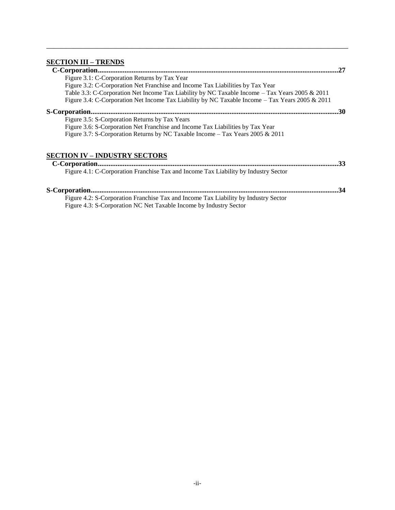# **[SECTION III –](#page-29-0) TRENDS**

|                                                                                                 | 27 |
|-------------------------------------------------------------------------------------------------|----|
| Figure 3.1: C-Corporation Returns by Tax Year                                                   |    |
| Figure 3.2: C-Corporation Net Franchise and Income Tax Liabilities by Tax Year                  |    |
| Table 3.3: C-Corporation Net Income Tax Liability by NC Taxable Income – Tax Years 2005 & 2011  |    |
| Figure 3.4: C-Corporation Net Income Tax Liability by NC Taxable Income - Tax Years 2005 & 2011 |    |
|                                                                                                 | 30 |
| Figure 3.5: S-Corporation Returns by Tax Years                                                  |    |
| Figure 3.6: S-Corporation Net Franchise and Income Tax Liabilities by Tax Year                  |    |
| Figure 3.7: S-Corporation Returns by NC Taxable Income – Tax Years 2005 & 2011                  |    |
| <b>SECTION IV – INDUSTRY SECTORS</b>                                                            |    |
|                                                                                                 | 33 |
| Figure 4.1: C-Corporation Franchise Tax and Income Tax Liability by Industry Sector             |    |

\_\_\_\_\_\_\_\_\_\_\_\_\_\_\_\_\_\_\_\_\_\_\_\_\_\_\_\_\_\_\_\_\_\_\_\_\_\_\_\_\_\_\_\_\_\_\_\_\_\_\_\_\_\_\_\_\_\_\_\_\_\_\_\_\_\_\_\_\_\_\_\_\_\_\_\_\_\_

| Figure 4.2: S-Corporation Franchise Tax and Income Tax Liability by Industry Sector |
|-------------------------------------------------------------------------------------|
| Figure 4.3: S-Corporation NC Net Taxable Income by Industry Sector                  |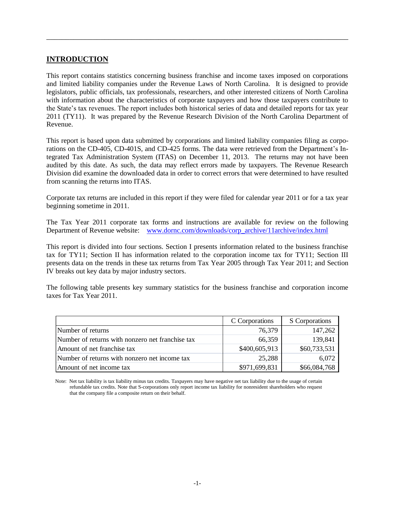### **INTRODUCTION**

This report contains statistics concerning business franchise and income taxes imposed on corporations and limited liability companies under the Revenue Laws of North Carolina. It is designed to provide legislators, public officials, tax professionals, researchers, and other interested citizens of North Carolina with information about the characteristics of corporate taxpayers and how those taxpayers contribute to the State's tax revenues. The report includes both historical series of data and detailed reports for tax year 2011 (TY11). It was prepared by the Revenue Research Division of the North Carolina Department of Revenue.

\_\_\_\_\_\_\_\_\_\_\_\_\_\_\_\_\_\_\_\_\_\_\_\_\_\_\_\_\_\_\_\_\_\_\_\_\_\_\_\_\_\_\_\_\_\_\_\_\_\_\_\_\_\_\_\_\_\_\_\_\_\_\_\_\_\_\_\_\_\_\_\_\_\_\_\_\_\_

This report is based upon data submitted by corporations and limited liability companies filing as corporations on the CD-405, CD-401S, and CD-425 forms. The data were retrieved from the Department's Integrated Tax Administration System (ITAS) on December 11, 2013. The returns may not have been audited by this date. As such, the data may reflect errors made by taxpayers. The Revenue Research Division did examine the downloaded data in order to correct errors that were determined to have resulted from scanning the returns into ITAS.

Corporate tax returns are included in this report if they were filed for calendar year 2011 or for a tax year beginning sometime in 2011.

The Tax Year 2011 corporate tax forms and instructions are available for review on the following Department of Revenue website: [www.dornc.com/downloads/corp\\_archive/11archive/index.html](http://www.dornc.com/downloads/corp_archive/11archive/index.html)

This report is divided into four sections. Section I presents information related to the business franchise tax for TY11; Section II has information related to the corporation income tax for TY11; Section III presents data on the trends in these tax returns from Tax Year 2005 through Tax Year 2011; and Section IV breaks out key data by major industry sectors.

The following table presents key summary statistics for the business franchise and corporation income taxes for Tax Year 2011.

|                                                  | C Corporations | S Corporations |
|--------------------------------------------------|----------------|----------------|
| Number of returns                                | 76,379         | 147,262        |
| Number of returns with nonzero net franchise tax | 66,359         | 139,841        |
| Amount of net franchise tax                      | \$400,605,913  | \$60,733,531   |
| Number of returns with nonzero net income tax    | 25,288         | 6,072          |
| Amount of net income tax                         | \$971,699,831  | \$66,084,768   |

Note: Net tax liability is tax liability minus tax credits. Taxpayers may have negative net tax liability due to the usage of certain refundable tax credits. Note that S-corporations only report income tax liability for nonresident shareholders who request that the company file a composite return on their behalf.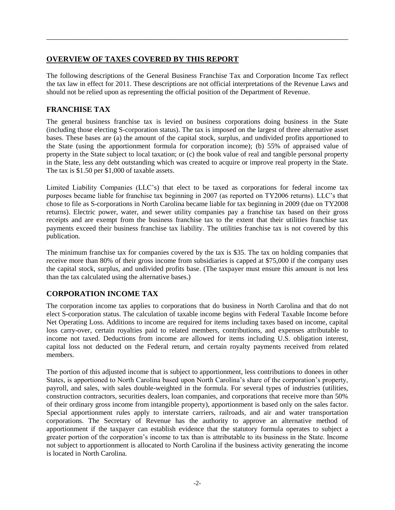### <span id="page-4-0"></span>**OVERVIEW OF TAXES COVERED BY THIS REPORT**

The following descriptions of the General Business Franchise Tax and Corporation Income Tax reflect the tax law in effect for 2011. These descriptions are not official interpretations of the Revenue Laws and should not be relied upon as representing the official position of the Department of Revenue.

\_\_\_\_\_\_\_\_\_\_\_\_\_\_\_\_\_\_\_\_\_\_\_\_\_\_\_\_\_\_\_\_\_\_\_\_\_\_\_\_\_\_\_\_\_\_\_\_\_\_\_\_\_\_\_\_\_\_\_\_\_\_\_\_\_\_\_\_\_\_\_\_\_\_\_\_\_\_

### **FRANCHISE TAX**

The general business franchise tax is levied on business corporations doing business in the State (including those electing S-corporation status). The tax is imposed on the largest of three alternative asset bases. These bases are (a) the amount of the capital stock, surplus, and undivided profits apportioned to the State (using the apportionment formula for corporation income); (b) 55% of appraised value of property in the State subject to local taxation; or (c) the book value of real and tangible personal property in the State, less any debt outstanding which was created to acquire or improve real property in the State. The tax is \$1.50 per \$1,000 of taxable assets.

Limited Liability Companies (LLC's) that elect to be taxed as corporations for federal income tax purposes became liable for franchise tax beginning in 2007 (as reported on TY2006 returns). LLC's that chose to file as S-corporations in North Carolina became liable for tax beginning in 2009 (due on TY2008 returns). Electric power, water, and sewer utility companies pay a franchise tax based on their gross receipts and are exempt from the business franchise tax to the extent that their utilities franchise tax payments exceed their business franchise tax liability. The utilities franchise tax is not covered by this publication.

The minimum franchise tax for companies covered by the tax is \$35. The tax on holding companies that receive more than 80% of their gross income from subsidiaries is capped at \$75,000 if the company uses the capital stock, surplus, and undivided profits base. (The taxpayer must ensure this amount is not less than the tax calculated using the alternative bases.)

# **CORPORATION INCOME TAX**

The corporation income tax applies to corporations that do business in North Carolina and that do not elect S-corporation status. The calculation of taxable income begins with Federal Taxable Income before Net Operating Loss. Additions to income are required for items including taxes based on income, capital loss carry-over, certain royalties paid to related members, contributions, and expenses attributable to income not taxed. Deductions from income are allowed for items including U.S. obligation interest, capital loss not deducted on the Federal return, and certain royalty payments received from related members.

The portion of this adjusted income that is subject to apportionment, less contributions to donees in other States, is apportioned to North Carolina based upon North Carolina's share of the corporation's property, payroll, and sales, with sales double-weighted in the formula. For several types of industries (utilities, construction contractors, securities dealers, loan companies, and corporations that receive more than 50% of their ordinary gross income from intangible property), apportionment is based only on the sales factor. Special apportionment rules apply to interstate carriers, railroads, and air and water transportation corporations. The Secretary of Revenue has the authority to approve an alternative method of apportionment if the taxpayer can establish evidence that the statutory formula operates to subject a greater portion of the corporation's income to tax than is attributable to its business in the State. Income not subject to apportionment is allocated to North Carolina if the business activity generating the income is located in North Carolina.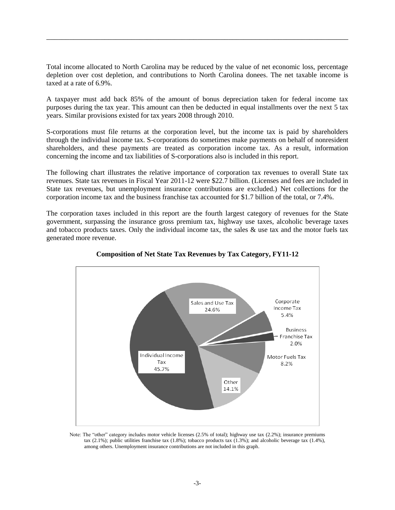Total income allocated to North Carolina may be reduced by the value of net economic loss, percentage depletion over cost depletion, and contributions to North Carolina donees. The net taxable income is taxed at a rate of 6.9%.

\_\_\_\_\_\_\_\_\_\_\_\_\_\_\_\_\_\_\_\_\_\_\_\_\_\_\_\_\_\_\_\_\_\_\_\_\_\_\_\_\_\_\_\_\_\_\_\_\_\_\_\_\_\_\_\_\_\_\_\_\_\_\_\_\_\_\_\_\_\_\_\_\_\_\_\_\_\_

A taxpayer must add back 85% of the amount of bonus depreciation taken for federal income tax purposes during the tax year. This amount can then be deducted in equal installments over the next 5 tax years. Similar provisions existed for tax years 2008 through 2010.

S-corporations must file returns at the corporation level, but the income tax is paid by shareholders through the individual income tax. S-corporations do sometimes make payments on behalf of nonresident shareholders, and these payments are treated as corporation income tax. As a result, information concerning the income and tax liabilities of S-corporations also is included in this report.

The following chart illustrates the relative importance of corporation tax revenues to overall State tax revenues. State tax revenues in Fiscal Year 2011-12 were \$22.7 billion. (Licenses and fees are included in State tax revenues, but unemployment insurance contributions are excluded.) Net collections for the corporation income tax and the business franchise tax accounted for \$1.7 billion of the total, or 7.4%.

The corporation taxes included in this report are the fourth largest category of revenues for the State government, surpassing the insurance gross premium tax, highway use taxes, alcoholic beverage taxes and tobacco products taxes. Only the individual income tax, the sales  $\&$  use tax and the motor fuels tax generated more revenue.



**Composition of Net State Tax Revenues by Tax Category, FY11-12**

Note: The "other" category includes motor vehicle licenses (2.5% of total); highway use tax (2.2%); insurance premiums tax (2.1%); public utilities franchise tax (1.8%); tobacco products tax (1.3%); and alcoholic beverage tax (1.4%), among others. Unemployment insurance contributions are not included in this graph.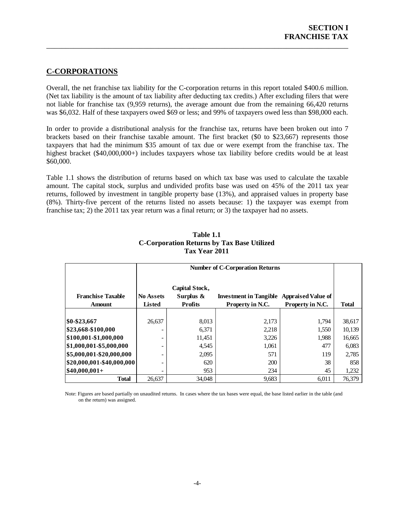# <span id="page-6-0"></span>**C-CORPORATIONS**

Overall, the net franchise tax liability for the C-corporation returns in this report totaled \$400.6 million. (Net tax liability is the amount of tax liability after deducting tax credits.) After excluding filers that were not liable for franchise tax (9,959 returns), the average amount due from the remaining 66,420 returns was \$6,032. Half of these taxpayers owed \$69 or less; and 99% of taxpayers owed less than \$98,000 each.

\_\_\_\_\_\_\_\_\_\_\_\_\_\_\_\_\_\_\_\_\_\_\_\_\_\_\_\_\_\_\_\_\_\_\_\_\_\_\_\_\_\_\_\_\_\_\_\_\_\_\_\_\_\_\_\_\_\_\_\_\_\_\_\_\_\_\_\_\_\_\_\_\_\_\_\_\_\_

In order to provide a distributional analysis for the franchise tax, returns have been broken out into 7 brackets based on their franchise taxable amount. The first bracket (\$0 to \$23,667) represents those taxpayers that had the minimum \$35 amount of tax due or were exempt from the franchise tax. The highest bracket (\$40,000,000+) includes taxpayers whose tax liability before credits would be at least \$60,000.

Table 1.1 shows the distribution of returns based on which tax base was used to calculate the taxable amount. The capital stock, surplus and undivided profits base was used on 45% of the 2011 tax year returns, followed by investment in tangible property base (13%), and appraised values in property base (8%). Thirty-five percent of the returns listed no assets because: 1) the taxpayer was exempt from franchise tax; 2) the 2011 tax year return was a final return; or 3) the taxpayer had no assets.

<span id="page-6-1"></span>

|                           |                  | <b>Number of C-Corporation Returns</b> |                                                  |                  |              |  |
|---------------------------|------------------|----------------------------------------|--------------------------------------------------|------------------|--------------|--|
| <b>Franchise Taxable</b>  | <b>No Assets</b> | Capital Stock,<br>Surplus &            | <b>Investment in Tangible Appraised Value of</b> |                  |              |  |
| <b>Amount</b>             | <b>Listed</b>    | <b>Profits</b>                         | Property in N.C.                                 | Property in N.C. | <b>Total</b> |  |
|                           |                  |                                        |                                                  |                  |              |  |
| $$0 - $23,667$            | 26.637           | 8,013                                  | 2,173                                            | 1,794            | 38,617       |  |
| \$23,668-\$100,000        |                  | 6,371                                  | 2,218                                            | 1,550            | 10,139       |  |
| \$100,001-\$1,000,000     |                  | 11,451                                 | 3,226                                            | 1,988            | 16,665       |  |
| \$1,000,001-\$5,000,000   |                  | 4,545                                  | 1,061                                            | 477              | 6,083        |  |
| \$5,000,001-\$20,000,000  |                  | 2,095                                  | 571                                              | 119              | 2,785        |  |
| \$20,000,001-\$40,000,000 |                  | 620                                    | 200                                              | 38               | 858          |  |
| $$40,000,001+$            |                  | 953                                    | 234                                              | 45               | 1,232        |  |
| <b>Total</b>              | 26,637           | 34,048                                 | 9,683                                            | 6,011            | 76,379       |  |

### **Table 1.1 C-Corporation Returns by Tax Base Utilized Tax Year 2011**

Note: Figures are based partially on unaudited returns. In cases where the tax bases were equal, the base listed earlier in the table (and on the return) was assigned.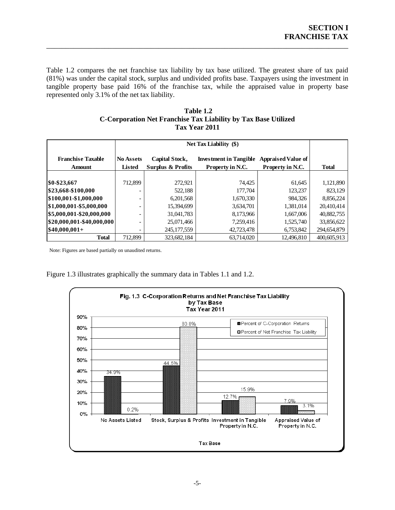Table 1.2 compares the net franchise tax liability by tax base utilized. The greatest share of tax paid (81%) was under the capital stock, surplus and undivided profits base. Taxpayers using the investment in tangible property base paid 16% of the franchise tax, while the appraised value in property base represented only 3.1% of the net tax liability.

\_\_\_\_\_\_\_\_\_\_\_\_\_\_\_\_\_\_\_\_\_\_\_\_\_\_\_\_\_\_\_\_\_\_\_\_\_\_\_\_\_\_\_\_\_\_\_\_\_\_\_\_\_\_\_\_\_\_\_\_\_\_\_\_\_\_\_\_\_\_\_\_\_\_\_\_\_\_

<span id="page-7-0"></span>

| Table 1.2                                                      |
|----------------------------------------------------------------|
| C-Corporation Net Franchise Tax Liability by Tax Base Utilized |
| Tax Year 2011                                                  |

|                              |                  | <b>Net Tax Liability (\$)</b>                                                |                  |                  |              |  |
|------------------------------|------------------|------------------------------------------------------------------------------|------------------|------------------|--------------|--|
| <b>Franchise Taxable</b>     | <b>No Assets</b> | Capital Stock,<br><b>Investment in Tangible</b><br><b>Appraised Value of</b> |                  |                  |              |  |
| <b>Amount</b>                | Listed           | <b>Surplus &amp; Profits</b>                                                 | Property in N.C. | Property in N.C. | <b>Total</b> |  |
|                              |                  |                                                                              |                  |                  |              |  |
| \$0-\$23,667                 | 712,899          | 272,921                                                                      | 74.425           | 61,645           | 1,121,890    |  |
| \$23,668-\$100,000           |                  | 522,188                                                                      | 177,704          | 123,237          | 823,129      |  |
| \$100,001-\$1,000,000        |                  | 6,201,568                                                                    | 1,670,330        | 984,326          | 8,856,224    |  |
| \$1,000,001-\$5,000,000      |                  | 15,394,699                                                                   | 3,634,701        | 1,381,014        | 20,410,414   |  |
| \$5,000,001-\$20,000,000     |                  | 31,041,783                                                                   | 8,173,966        | 1,667,006        | 40,882,755   |  |
| $ $20,000,001$ -\$40,000,000 |                  | 25,071,466                                                                   | 7,259,416        | 1,525,740        | 33,856,622   |  |
| $$40,000,001+$               |                  | 245, 177, 559                                                                | 42,723,478       | 6,753,842        | 294,654,879  |  |
| <b>Total</b>                 | 712,899          | 323,682,184                                                                  | 63,714,020       | 12,496,810       | 400,605,913  |  |

Note: Figures are based partially on unaudited returns.

Figure 1.3 illustrates graphically the summary data in Tables 1.1 and 1.2.

<span id="page-7-1"></span>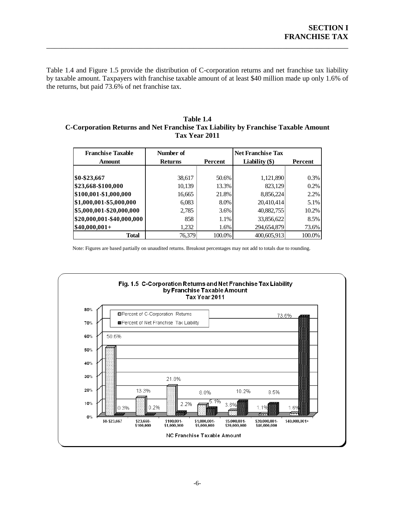Table 1.4 and Figure 1.5 provide the distribution of C-corporation returns and net franchise tax liability by taxable amount. Taxpayers with franchise taxable amount of at least \$40 million made up only 1.6% of the returns, but paid 73.6% of net franchise tax.

\_\_\_\_\_\_\_\_\_\_\_\_\_\_\_\_\_\_\_\_\_\_\_\_\_\_\_\_\_\_\_\_\_\_\_\_\_\_\_\_\_\_\_\_\_\_\_\_\_\_\_\_\_\_\_\_\_\_\_\_\_\_\_\_\_\_\_\_\_\_\_\_\_\_\_\_\_\_

#### <span id="page-8-0"></span>**Table 1.4 C-Corporation Returns and Net Franchise Tax Liability by Franchise Taxable Amount Tax Year 2011**

| <b>Franchise Taxable</b>  | Number of      |         | <b>Net Franchise Tax</b> |         |
|---------------------------|----------------|---------|--------------------------|---------|
| <b>Amount</b>             | <b>Returns</b> | Percent | Liability $(\$)$         | Percent |
|                           |                |         |                          |         |
| \$0-\$23,667              | 38,617         | 50.6%   | 1,121,890                | 0.3%    |
| \$23,668-\$100,000        | 10,139         | 13.3%   | 823,129                  | 0.2%    |
| \$100,001-\$1,000,000     | 16,665         | 21.8%   | 8,856,224                | 2.2%    |
| \$1,000,001-\$5,000,000   | 6,083          | 8.0%    | 20,410,414               | 5.1%    |
| \$5,000,001-\$20,000,000  | 2,785          | 3.6%    | 40,882,755               | 10.2%   |
| \$20,000,001-\$40,000,000 | 858            | 1.1%    | 33,856,622               | 8.5%    |
| $$40,000,001+$            | 1,232          | 1.6%    | 294,654,879              | 73.6%   |
| <b>Total</b>              | 76,379         | 100.0%  | 400,605,913              | 100.0%  |

Note: Figures are based partially on unaudited returns. Breakout percentages may not add to totals due to rounding.

<span id="page-8-1"></span>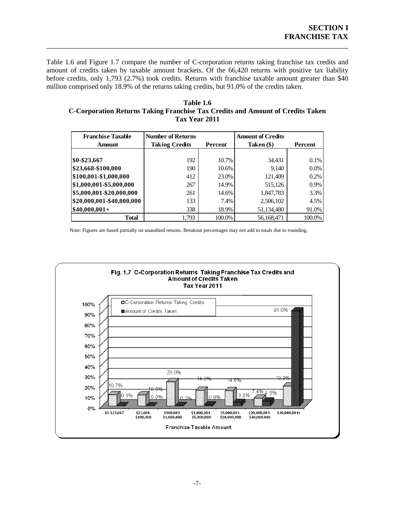Table 1.6 and Figure 1.7 compare the number of C-corporation returns taking franchise tax credits and amount of credits taken by taxable amount brackets. Of the 66,420 returns with positive tax liability before credits, only 1,793 (2.7%) took credits. Returns with franchise taxable amount greater than \$40 million comprised only 18.9% of the returns taking credits, but 91.0% of the credits taken.

\_\_\_\_\_\_\_\_\_\_\_\_\_\_\_\_\_\_\_\_\_\_\_\_\_\_\_\_\_\_\_\_\_\_\_\_\_\_\_\_\_\_\_\_\_\_\_\_\_\_\_\_\_\_\_\_\_\_\_\_\_\_\_\_\_\_\_\_\_\_\_\_\_\_\_\_\_\_

#### <span id="page-9-0"></span>**Table 1.6 C-Corporation Returns Taking Franchise Tax Credits and Amount of Credits Taken Tax Year 2011**

| <b>Franchise Taxable</b>  | <b>Number of Returns</b> |                | <b>Amount of Credits</b> |         |
|---------------------------|--------------------------|----------------|--------------------------|---------|
| <b>Amount</b>             | <b>Taking Credits</b>    | <b>Percent</b> | Taken (\$)               | Percent |
|                           |                          |                |                          |         |
| \$0-\$23,667              | 192                      | 10.7%          | 34,431                   | 0.1%    |
| \$23,668-\$100,000        | 190                      | 10.6%          | 9,140                    | 0.0%    |
| \$100,001-\$1,000,000     | 412                      | 23.0%          | 121,409                  | 0.2%    |
| \$1,000,001-\$5,000,000   | 267                      | 14.9%          | 515,126                  | 0.9%    |
| \$5,000,001-\$20,000,000  | 261                      | 14.6%          | 1,847,783                | 3.3%    |
| \$20,000,001-\$40,000,000 | 133                      | 7.4%           | 2,506,102                | 4.5%    |
| $$40,000,001+$            | 338                      | 18.9%          | 51,134,480               | 91.0%   |
| <b>Total</b>              | 1,793                    | 100.0%         | 56,168,471               | 100.0%  |

Note: Figures are based partially on unaudited returns. Breakout percentages may not add to totals due to rounding.

<span id="page-9-1"></span>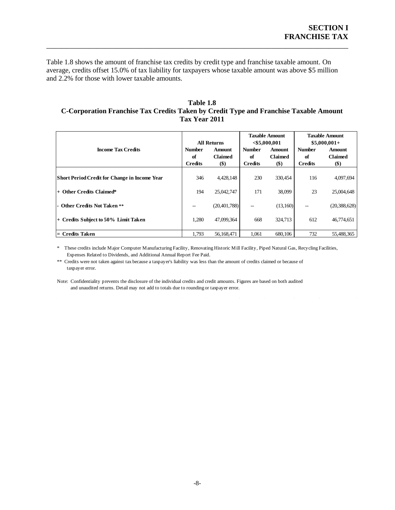Table 1.8 shows the amount of franchise tax credits by credit type and franchise taxable amount. On average, credits offset 15.0% of tax liability for taxpayers whose taxable amount was above \$5 million and 2.2% for those with lower taxable amounts.

\_\_\_\_\_\_\_\_\_\_\_\_\_\_\_\_\_\_\_\_\_\_\_\_\_\_\_\_\_\_\_\_\_\_\_\_\_\_\_\_\_\_\_\_\_\_\_\_\_\_\_\_\_\_\_\_\_\_\_\_\_\_\_\_\_\_\_\_\_\_\_\_\_\_\_\_\_\_

#### <span id="page-10-0"></span>**Table 1.8 C-Corporation Franchise Tax Credits Taken by Credit Type and Franchise Taxable Amount Tax Year 2011**

|                                                      | <b>All Returns</b>  |                          | <b>Taxable Amount</b><br>$<$ \$5,000,001 |                                 | <b>Taxable Amount</b><br>$$5,000,001+$ |                                 |
|------------------------------------------------------|---------------------|--------------------------|------------------------------------------|---------------------------------|----------------------------------------|---------------------------------|
| <b>Income Tax Credits</b>                            | <b>Number</b><br>of | Amount<br><b>Claimed</b> | <b>Number</b><br>of                      | <b>Amount</b><br><b>Claimed</b> | <b>Number</b><br>of                    | <b>Amount</b><br><b>Claimed</b> |
|                                                      | <b>Credits</b>      | $(\$)$                   | <b>Credits</b>                           | $(\$)$                          | <b>Credits</b>                         | $(\$)$                          |
| <b>Short Period Credit for Change in Income Year</b> | 346                 | 4,428,148                | 230                                      | 330,454                         | 116                                    | 4,097,694                       |
| $+$ Other Credits Claimed*                           | 194                 | 25,042,747               | 171                                      | 38,099                          | 23                                     | 25,004,648                      |
| - Other Credits Not Taken **                         | $- -$               | (20, 401, 788)           | --                                       | (13,160)                        | --                                     | (20, 388, 628)                  |
| + Credits Subject to 50% Limit Taken                 | 1,280               | 47,099,364               | 668                                      | 324,713                         | 612                                    | 46,774,651                      |
| = Credits Taken                                      | 1,793               | 56,168,471               | 1,061                                    | 680,106                         | 732                                    | 55,488,365                      |

\* These credits include Major Computer Manufacturing Facility, Renovating Historic Mill Facility, Piped Natural Gas, Recycling Facilities, Expenses Related to Dividends, and Additional Annual Report Fee Paid.

\*\* Credits were not taken against tax because a taxpayer's liability was less than the amount of credits claimed or because of taxpayer error.

Note: Confidentiality prevents the disclosure of the individual credits and credit amounts. Figures are based on both audited and unaudited returns. Detail may not add to totals due to rounding or taxpayer error.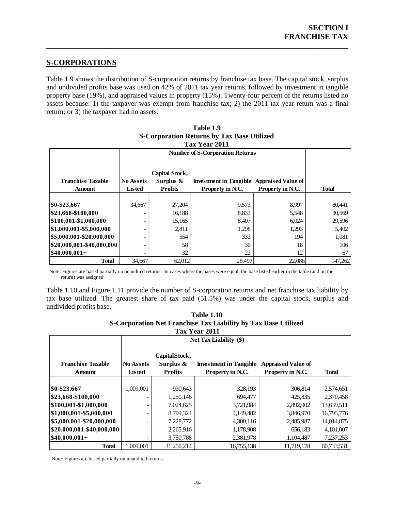### <span id="page-11-0"></span>**S-CORPORATIONS**

Table 1.9 shows the distribution of S-corporation returns by franchise tax base. The capital stock, surplus and undivided profits base was used on 42% of 2011 tax year returns, followed by investment in tangible property base (19%), and appraised values in property (15%). Twenty-four percent of the returns listed no assets because: 1) the taxpayer was exempt from franchise tax; 2) the 2011 tax year return was a final return; or 3) the taxpayer had no assets.

\_\_\_\_\_\_\_\_\_\_\_\_\_\_\_\_\_\_\_\_\_\_\_\_\_\_\_\_\_\_\_\_\_\_\_\_\_\_\_\_\_\_\_\_\_\_\_\_\_\_\_\_\_\_\_\_\_\_\_\_\_\_\_\_\_\_\_\_\_\_\_\_\_\_\_\_\_\_

<span id="page-11-1"></span>

|                           |                  |                | Tax Year 2011                 |                           |              |  |
|---------------------------|------------------|----------------|-------------------------------|---------------------------|--------------|--|
|                           |                  |                |                               |                           |              |  |
|                           |                  |                |                               |                           |              |  |
|                           |                  | Capital Stock, |                               |                           |              |  |
| <b>Franchise Taxable</b>  | <b>No Assets</b> | Surplus $\&$   | <b>Investment in Tangible</b> | <b>Appraised Value of</b> |              |  |
| <b>Amount</b>             | <b>Listed</b>    | <b>Profits</b> | Property in N.C.              | Property in N.C.          | <b>Total</b> |  |
|                           |                  |                |                               |                           |              |  |
| \$0-\$23,667              | 34,667           | 27,204         | 9,573                         | 8,997                     | 80,441       |  |
| \$23,668-\$100,000        |                  | 16,188         | 8,833                         | 5,548                     | 30,569       |  |
| \$100,001-\$1,000,000     |                  | 15,165         | 8,407                         | 6,024                     | 29,596       |  |
| \$1,000,001-\$5,000,000   |                  | 2,811          | 1,298                         | 1,293                     | 5,402        |  |
| \$5,000,001-\$20,000,000  |                  | 554            | 333                           | 194                       | 1,081        |  |
| \$20,000,001-\$40,000,000 |                  | 58             | 30                            | 18                        | 106          |  |
| $ $40,000,001+$           |                  | 32             | 23                            | 12                        | 67           |  |
| <b>Total</b>              | 34,667           | 62,012         | 28,497                        | 22,086                    | 147,262      |  |

| Table 1.9                                         |
|---------------------------------------------------|
| <b>S-Corporation Returns by Tax Base Utilized</b> |
| Tov Voor 2011                                     |

Note: Figures are based partially on unaudited returns. In cases where the bases were equal, the base listed earlier in the table (and on the return) was assigned

Table 1.10 and Figure 1.11 provide the number of S-corporation returns and net franchise tax liability by tax base utilized. The greatest share of tax paid (51.5%) was under the capital stock, surplus and undivided profits base.

| <b>Table 1.10</b>                                              |
|----------------------------------------------------------------|
| S-Corporation Net Franchise Tax Liability by Tax Base Utilized |
| Tax Year 2011                                                  |

<span id="page-11-2"></span>

| 148 TC41 2011                |                  |                            |                               |                           |              |  |  |  |
|------------------------------|------------------|----------------------------|-------------------------------|---------------------------|--------------|--|--|--|
|                              |                  |                            |                               |                           |              |  |  |  |
| <b>Franchise Taxable</b>     | <b>No Assets</b> | CapitalStock,<br>Surplus & | <b>Investment in Tangible</b> | <b>Appraised Value of</b> |              |  |  |  |
| Amount                       | <b>Listed</b>    | <b>Profits</b>             | Property in N.C.              | Property in N.C.          | <b>Total</b> |  |  |  |
|                              |                  |                            |                               |                           |              |  |  |  |
| \$0-\$23,667                 | 1,009,001        | 930,643                    | 328,193                       | 306,814                   | 2,574,651    |  |  |  |
| \$23,668-\$100,000           | ۰                | 1,250,146                  | 694.477                       | 425,835                   | 2,370,458    |  |  |  |
| \$100,001-\$1,000,000        |                  | 7,024,625                  | 3,721,984                     | 2,892,902                 | 13,639,511   |  |  |  |
| \$1,000,001-\$5,000,000      |                  | 8,799,324                  | 4,149,482                     | 3,846,970                 | 16,795,776   |  |  |  |
| \$5,000,001-\$20,000,000     | -                | 7,228,772                  | 4,300,116                     | 2,485,987                 | 14,014,875   |  |  |  |
| $ $20,000,001$ -\$40,000,000 | ۰                | 2,265,916                  | 1,178,908                     | 656,183                   | 4,101,007    |  |  |  |
| $ $40,000,001+$              |                  | 3,750,788                  | 2,381,978                     | 1,104,487                 | 7,237,253    |  |  |  |
| <b>Total</b>                 | 1,009,001        | 31,250,214                 | 16,755,138                    | 11,719,178                | 60,733,531   |  |  |  |

Note: Figures are based partially on unaudited returns.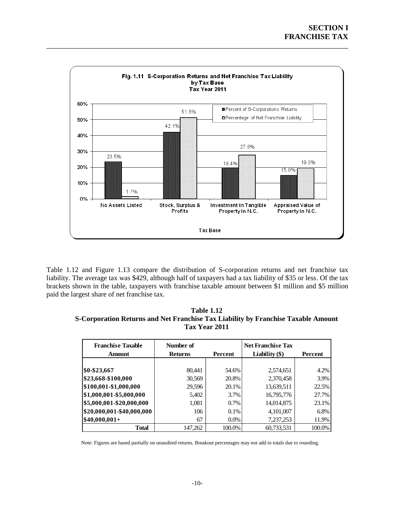<span id="page-12-0"></span>

Table 1.12 and Figure 1.13 compare the distribution of S-corporation returns and net franchise tax liability. The average tax was \$429, although half of taxpayers had a tax liability of \$35 or less. Of the tax brackets shown in the table, taxpayers with franchise taxable amount between \$1 million and \$5 million paid the largest share of net franchise tax.

<span id="page-12-1"></span>

| <b>Table 1.12</b>                                                                 |
|-----------------------------------------------------------------------------------|
| S-Corporation Returns and Net Franchise Tax Liability by Franchise Taxable Amount |
| Tax Year 2011                                                                     |

| <b>Franchise Taxable</b><br><b>Amount</b> | Number of<br><b>Returns</b> | Percent | <b>Net Franchise Tax</b><br>Liability $(\$)$ | Percent |
|-------------------------------------------|-----------------------------|---------|----------------------------------------------|---------|
|                                           |                             |         |                                              |         |
| \$0-\$23,667                              | 80,441                      | 54.6%   | 2,574,651                                    | 4.2%    |
| \$23,668-\$100,000                        | 30,569                      | 20.8%   | 2,370,458                                    | 3.9%    |
| \$100,001-\$1,000,000                     | 29,596                      | 20.1%   | 13,639,511                                   | 22.5%   |
| \$1,000,001-\$5,000,000                   | 5,402                       | 3.7%    | 16,795,776                                   | 27.7%   |
| \$5,000,001-\$20,000,000                  | 1,081                       | 0.7%    | 14,014,875                                   | 23.1%   |
| \$20,000,001-\$40,000,000                 | 106                         | $0.1\%$ | 4,101,007                                    | 6.8%    |
| $$40,000,001+$                            | 67                          | 0.0%    | 7,237,253                                    | 11.9%   |
| Total                                     | 147,262                     | 100.0%  | 60,733,531                                   | 100.0%  |

Note: Figures are based partially on unaudited returns. Breakout percentages may not add to totals due to rounding.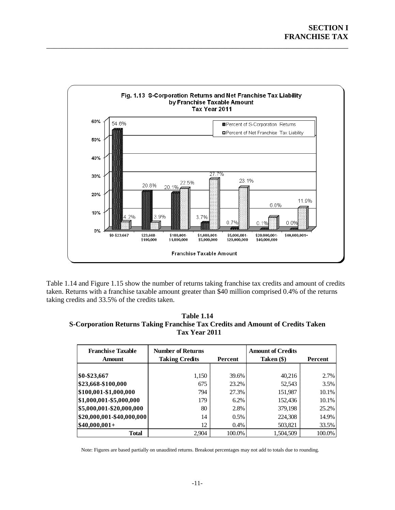

<span id="page-13-0"></span>Table 1.14 and Figure 1.15 show the number of returns taking franchise tax credits and amount of credits taken. Returns with a franchise taxable amount greater than \$40 million comprised 0.4% of the returns taking credits and 33.5% of the credits taken.

<span id="page-13-1"></span>**Table 1.14 S-Corporation Returns Taking Franchise Tax Credits and Amount of Credits Taken Tax Year 2011**

| <b>Franchise Taxable</b><br><b>Amount</b> | <b>Number of Returns</b><br><b>Taking Credits</b><br>Percent |         | <b>Amount of Credits</b><br>Taken (\$) | Percent |
|-------------------------------------------|--------------------------------------------------------------|---------|----------------------------------------|---------|
|                                           |                                                              |         |                                        |         |
| \$0-\$23,667                              | 1,150                                                        | 39.6%   | 40,216                                 | $2.7\%$ |
| \$23,668-\$100,000                        | 675                                                          | 23.2%   | 52,543                                 | 3.5%    |
| \$100,001-\$1,000,000                     | 794                                                          | 27.3%   | 151,987                                | 10.1%   |
| \$1,000,001-\$5,000,000                   | 179                                                          | 6.2%    | 152,436                                | 10.1%   |
| \$5,000,001-\$20,000,000                  | 80                                                           | 2.8%    | 379,198                                | 25.2%   |
| \$20,000,001-\$40,000,000                 | 14                                                           | $0.5\%$ | 224,308                                | 14.9%   |
| $$40,000,001+$                            | 12                                                           | $0.4\%$ | 503,821                                | 33.5%   |
| Total                                     | 2.904                                                        | 100.0%  | 1.504.509                              | 100.0%  |

Note: Figures are based partially on unaudited returns. Breakout percentages may not add to totals due to rounding.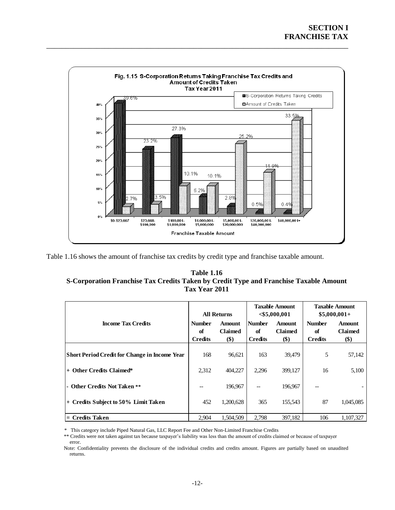<span id="page-14-0"></span>

<span id="page-14-1"></span>Table 1.16 shows the amount of franchise tax credits by credit type and franchise taxable amount.

### **Table 1.16 S-Corporation Franchise Tax Credits Taken by Credit Type and Franchise Taxable Amount Tax Year 2011**

|                                                      | <b>All Returns</b>                    |                                 | <b>Taxable Amount</b><br>$<$ \$5,000,001 |                                        | <b>Taxable Amount</b><br>$$5,000,001+$ |                                        |
|------------------------------------------------------|---------------------------------------|---------------------------------|------------------------------------------|----------------------------------------|----------------------------------------|----------------------------------------|
| <b>Income Tax Credits</b>                            | <b>Number</b><br>of<br><b>Credits</b> | <b>Amount</b><br>Claimed<br>\$) | <b>Number</b><br>of<br><b>Credits</b>    | <b>Amount</b><br><b>Claimed</b><br>\$) | <b>Number</b><br>of<br><b>Credits</b>  | <b>Amount</b><br><b>Claimed</b><br>\$) |
| <b>Short Period Credit for Change in Income Year</b> | 168                                   | 96,621                          | 163                                      | 39,479                                 | 5                                      | 57,142                                 |
| <b>Other Credits Claimed*</b><br>$+$                 | 2.312                                 | 404,227                         | 2,296                                    | 399,127                                | 16                                     | 5,100                                  |
| - Other Credits Not Taken **                         |                                       | 196,967                         | --                                       | 196,967                                | --                                     |                                        |
| + Credits Subject to 50% Limit Taken                 | 452                                   | 1,200,628                       | 365                                      | 155,543                                | 87                                     | 1,045,085                              |
| $=$ Credits Taken                                    | 2.904                                 | 1,504,509                       | 2,798                                    | 397,182                                | 106                                    | 1,107,327                              |

\* This category include Piped Natural Gas, LLC Report Fee and Other Non-Limited Franchise Credits

\*\* Credits were not taken against tax because taxpayer's liability was less than the amount of credits claimed or because of taxpayer error.

Note: Confidentiality prevents the disclosure of the individual credits and credits amount. Figures are partially based on unaudited returns.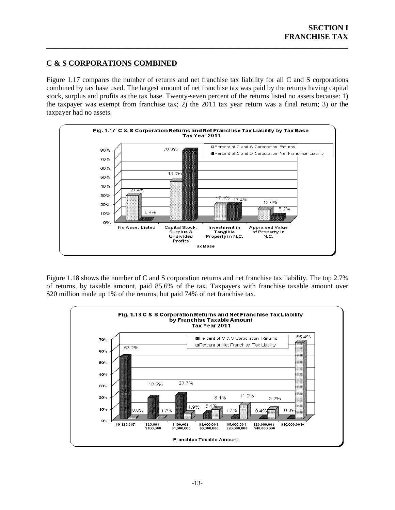### <span id="page-15-0"></span>**C & S CORPORATIONS COMBINED**

Figure 1.17 compares the number of returns and net franchise tax liability for all C and S corporations combined by tax base used. The largest amount of net franchise tax was paid by the returns having capital stock, surplus and profits as the tax base. Twenty-seven percent of the returns listed no assets because: 1) the taxpayer was exempt from franchise tax; 2) the 2011 tax year return was a final return; 3) or the taxpayer had no assets.

\_\_\_\_\_\_\_\_\_\_\_\_\_\_\_\_\_\_\_\_\_\_\_\_\_\_\_\_\_\_\_\_\_\_\_\_\_\_\_\_\_\_\_\_\_\_\_\_\_\_\_\_\_\_\_\_\_\_\_\_\_\_\_\_\_\_\_\_\_\_\_\_\_\_\_\_\_\_



Figure 1.18 shows the number of C and S corporation returns and net franchise tax liability. The top 2.7% of returns, by taxable amount, paid 85.6% of the tax. Taxpayers with franchise taxable amount over \$20 million made up 1% of the returns, but paid 74% of net franchise tax.

<span id="page-15-1"></span>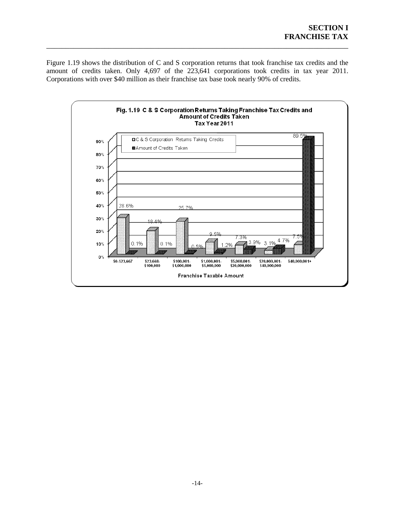Figure 1.19 shows the distribution of C and S corporation returns that took franchise tax credits and the amount of credits taken. Only 4,697 of the 223,641 corporations took credits in tax year 2011. Corporations with over \$40 million as their franchise tax base took nearly 90% of credits.

\_\_\_\_\_\_\_\_\_\_\_\_\_\_\_\_\_\_\_\_\_\_\_\_\_\_\_\_\_\_\_\_\_\_\_\_\_\_\_\_\_\_\_\_\_\_\_\_\_\_\_\_\_\_\_\_\_\_\_\_\_\_\_\_\_\_\_\_\_\_\_\_\_\_\_\_\_\_

<span id="page-16-0"></span>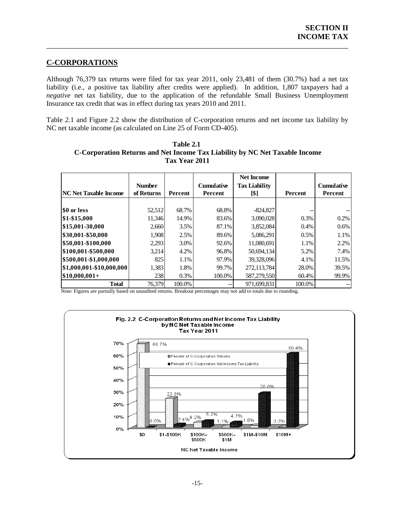### <span id="page-17-0"></span>**C-CORPORATIONS**

Although 76,379 tax returns were filed for tax year 2011, only 23,481 of them (30.7%) had a net tax liability (i.e., a positive tax liability after credits were applied). In addition, 1,807 taxpayers had a *negative* net tax liability, due to the application of the refundable Small Business Unemployment Insurance tax credit that was in effect during tax years 2010 and 2011.

\_\_\_\_\_\_\_\_\_\_\_\_\_\_\_\_\_\_\_\_\_\_\_\_\_\_\_\_\_\_\_\_\_\_\_\_\_\_\_\_\_\_\_\_\_\_\_\_\_\_\_\_\_\_\_\_\_\_\_\_\_\_\_\_\_\_\_\_\_\_\_\_\_\_\_\_\_\_

Table 2.1 and Figure 2.2 show the distribution of C-corporation returns and net income tax liability by NC net taxable income (as calculated on Line 25 of Form CD-405).

|                              |               |         |                   | <b>Net Income</b>    |         |                   |
|------------------------------|---------------|---------|-------------------|----------------------|---------|-------------------|
|                              | <b>Number</b> |         | <b>Cumulative</b> | <b>Tax Liability</b> |         | <b>Cumulative</b> |
| <b>NC Net Taxable Income</b> | of Returns    | Percent | Percent           | [\$]                 | Percent | Percent           |
|                              |               |         |                   |                      |         |                   |
| <b>SO</b> or less            | 52,512        | 68.7%   | 68.8%             | $-824,827$           |         |                   |
| \$1-\$15,000                 | 11,346        | 14.9%   | 83.6%             | 3,090,028            | 0.3%    | 0.2%              |
| \$15,001-30,000              | 2,660         | 3.5%    | 87.1%             | 3,852,084            | 0.4%    | $0.6\%$           |
| \$30,001-\$50,000            | 1,908         | 2.5%    | 89.6%             | 5,086,291            | $0.5\%$ | 1.1%              |
| \$50,001-\$100,000           | 2,293         | 3.0%    | 92.6%             | 11,080,691           | 1.1%    | 2.2%              |
| \$100,001-\$500,000          | 3,214         | 4.2%    | 96.8%             | 50,694,134           | 5.2%    | 7.4%              |
| \$500,001-\$1,000,000        | 825           | 1.1%    | 97.9%             | 39,328,096           | 4.1%    | 11.5%             |
| \$1,000,001-\$10,000,000     | 1,383         | 1.8%    | 99.7%             | 272,113,784          | 28.0%   | 39.5%             |
| $$10,000,001+$               | 238           | 0.3%    | 100.0%            | 587,279,550          | 60.4%   | 99.9%             |
| <b>Total</b>                 | 76,379        | 100.0%  | $-$               | 971,699,831          | 100.0%  |                   |

<span id="page-17-1"></span> **Table 2.1 C-Corporation Returns and Net Income Tax Liability by NC Net Taxable Income Tax Year 2011**

Note: Figures are partially based on unaudited returns. Breakout percentages may not add to totals due to rounding.

<span id="page-17-2"></span>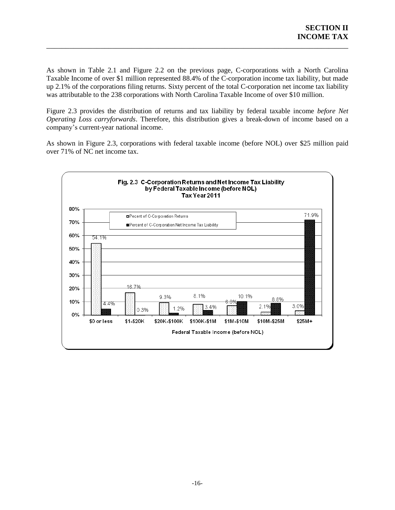As shown in Table 2.1 and Figure 2.2 on the previous page, C-corporations with a North Carolina Taxable Income of over \$1 million represented 88.4% of the C-corporation income tax liability, but made up 2.1% of the corporations filing returns. Sixty percent of the total C-corporation net income tax liability was attributable to the 238 corporations with North Carolina Taxable Income of over \$10 million.

\_\_\_\_\_\_\_\_\_\_\_\_\_\_\_\_\_\_\_\_\_\_\_\_\_\_\_\_\_\_\_\_\_\_\_\_\_\_\_\_\_\_\_\_\_\_\_\_\_\_\_\_\_\_\_\_\_\_\_\_\_\_\_\_\_\_\_\_\_\_\_\_\_\_\_\_\_\_

Figure 2.3 provides the distribution of returns and tax liability by federal taxable income *before Net Operating Loss carryforwards*. Therefore, this distribution gives a break-down of income based on a company's current-year national income.

As shown in Figure 2.3, corporations with federal taxable income (before NOL) over \$25 million paid over 71% of NC net income tax.

<span id="page-18-0"></span>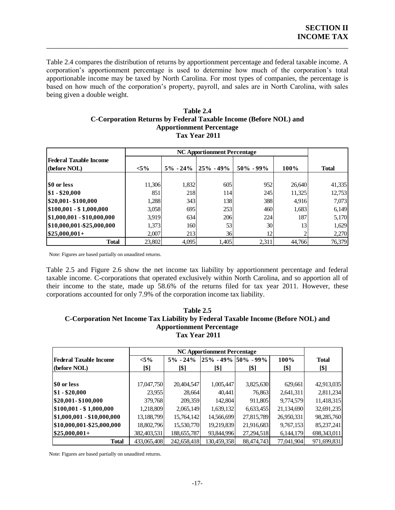Table 2.4 compares the distribution of returns by apportionment percentage and federal taxable income. A corporation's apportionment percentage is used to determine how much of the corporation's total apportionable income may be taxed by North Carolina. For most types of companies, the percentage is based on how much of the corporation's property, payroll, and sales are in North Carolina, with sales being given a double weight.

\_\_\_\_\_\_\_\_\_\_\_\_\_\_\_\_\_\_\_\_\_\_\_\_\_\_\_\_\_\_\_\_\_\_\_\_\_\_\_\_\_\_\_\_\_\_\_\_\_\_\_\_\_\_\_\_\_\_\_\_\_\_\_\_\_\_\_\_\_\_\_\_\_\_\_\_\_\_

#### **Table 2.4 C-Corporation Returns by Federal Taxable Income (Before NOL) and Apportionment Percentage Tax Year 2011**

<span id="page-19-0"></span>

|                                        |         | <b>NC Apportionment Percentage</b> |               |               |        |              |  |  |  |
|----------------------------------------|---------|------------------------------------|---------------|---------------|--------|--------------|--|--|--|
| Federal Taxable Income<br>(before NOL) | $< 5\%$ | $5\% - 24\%$                       | $25\% - 49\%$ | $50\% - 99\%$ | 100%   | <b>Total</b> |  |  |  |
|                                        |         |                                    |               |               |        |              |  |  |  |
| <b>SO or less</b>                      | 11,306  | 1,832                              | 605           | 952           | 26,640 | 41,335       |  |  |  |
| \$1 - \$20,000                         | 851     | 218                                | <b>114</b>    | 245           | 11,325 | 12,753       |  |  |  |
| \$20,001-\$100,000                     | 1,288   | 343                                | <b>138</b>    | 388           | 4,916  | 7,073        |  |  |  |
| $$100,001 - $1,000,000$                | 3,058   | 695                                | 253           | 460           | 1,683  | 6,149        |  |  |  |
| $ $1,000,001 - $10,000,000$            | 3,919   | 634                                | 206           | 224           | 187    | 5,170        |  |  |  |
| \$10,000,001-\$25,000,000              | 1,373   | 160                                | 53            | 30            | 13     | 1,629        |  |  |  |
| $$25,000,001+$                         | 2,007   | 213                                | 36            | 12            | 2      | 2,270        |  |  |  |
| <b>Total</b>                           | 23,802  | 4,095                              | 1,405         | 2,311         | 44,766 | 76,379       |  |  |  |

Note: Figures are based partially on unaudited returns.

Table 2.5 and Figure 2.6 show the net income tax liability by apportionment percentage and federal taxable income. C-corporations that operated exclusively within North Carolina, and so apportion all of their income to the state, made up 58.6% of the returns filed for tax year 2011. However, these corporations accounted for only 7.9% of the corporation income tax liability.

#### <span id="page-19-1"></span>**Table 2.5 C-Corporation Net Income Tax Liability by Federal Taxable Income (Before NOL) and Apportionment Percentage Tax Year 2011**

| Tax Year 2011              |             |               |                                    |            |            |               |  |  |
|----------------------------|-------------|---------------|------------------------------------|------------|------------|---------------|--|--|
|                            |             |               | <b>NC Apportionment Percentage</b> |            |            |               |  |  |
| Federal Taxable Income     | $< 5\%$     | $5\% - 24\%$  | 25% - 49%  50% - 99%               |            | 100%       | <b>Total</b>  |  |  |
| (before NOL)               | [\$]        | [\$]          | [\$]                               | [\$]       | [\$]       | [\$]          |  |  |
|                            |             |               |                                    |            |            |               |  |  |
| <b>SO</b> or less          | 17,047,750  | 20,404,547    | 1,005,447                          | 3,825,630  | 629,661    | 42,913,035    |  |  |
| $\$1 - \$20,000$           | 23,955      | 28,664        | 40.441                             | 76,863     | 2,641,311  | 2,811,234     |  |  |
| \$20,001-\$100,000         | 379,768     | 209,359       | 142,804                            | 911.805    | 9,774,579  | 11,418,315    |  |  |
| $$100,001 - $1,000,000$    | 1,218,809   | 2,065,149     | 1,639,132                          | 6,633,455  | 21,134,690 | 32,691,235    |  |  |
| \$1,000,001 - \$10,000,000 | 13,188,799  | 15,764,142    | 14,566,699                         | 27,815,789 | 26,950,331 | 98,285,760    |  |  |
| \$10,000,001-\$25,000,000  | 18,802,796  | 15,530,770    | 19,219,839                         | 21,916,683 | 9,767,153  | 85,237,241    |  |  |
| $\$25,000,001+$            | 382,403,531 | 188, 655, 787 | 93,844,996                         | 27,294,518 | 6,144,179  | 698, 343, 011 |  |  |
| <b>Total</b>               | 433,065,408 | 242,658,418   | 130,459,358                        | 88,474,743 | 77,041,904 | 971,699,831   |  |  |

Note: Figures are based partially on unaudited returns.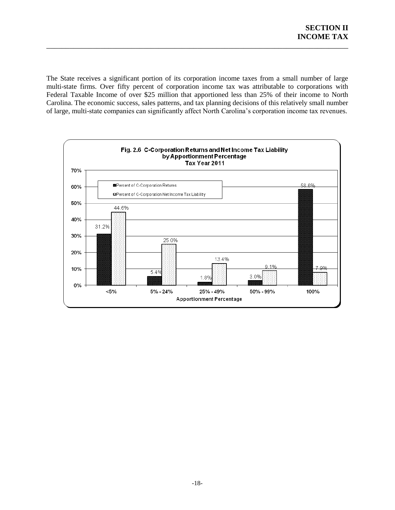The State receives a significant portion of its corporation income taxes from a small number of large multi-state firms. Over fifty percent of corporation income tax was attributable to corporations with Federal Taxable Income of over \$25 million that apportioned less than 25% of their income to North Carolina. The economic success, sales patterns, and tax planning decisions of this relatively small number of large, multi-state companies can significantly affect North Carolina's corporation income tax revenues.

\_\_\_\_\_\_\_\_\_\_\_\_\_\_\_\_\_\_\_\_\_\_\_\_\_\_\_\_\_\_\_\_\_\_\_\_\_\_\_\_\_\_\_\_\_\_\_\_\_\_\_\_\_\_\_\_\_\_\_\_\_\_\_\_\_\_\_\_\_\_\_\_\_\_\_\_\_\_

<span id="page-20-0"></span>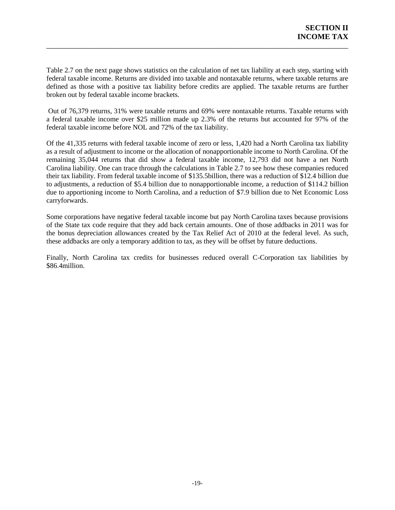Table 2.7 on the next page shows statistics on the calculation of net tax liability at each step, starting with federal taxable income. Returns are divided into taxable and nontaxable returns, where taxable returns are defined as those with a positive tax liability before credits are applied. The taxable returns are further broken out by federal taxable income brackets.

\_\_\_\_\_\_\_\_\_\_\_\_\_\_\_\_\_\_\_\_\_\_\_\_\_\_\_\_\_\_\_\_\_\_\_\_\_\_\_\_\_\_\_\_\_\_\_\_\_\_\_\_\_\_\_\_\_\_\_\_\_\_\_\_\_\_\_\_\_\_\_\_\_\_\_\_\_\_

Out of 76,379 returns, 31% were taxable returns and 69% were nontaxable returns. Taxable returns with a federal taxable income over \$25 million made up 2.3% of the returns but accounted for 97% of the federal taxable income before NOL and 72% of the tax liability.

Of the 41,335 returns with federal taxable income of zero or less, 1,420 had a North Carolina tax liability as a result of adjustment to income or the allocation of nonapportionable income to North Carolina. Of the remaining 35,044 returns that did show a federal taxable income, 12,793 did not have a net North Carolina liability. One can trace through the calculations in Table 2.7 to see how these companies reduced their tax liability. From federal taxable income of \$135.5billion, there was a reduction of \$12.4 billion due to adjustments, a reduction of \$5.4 billion due to nonapportionable income, a reduction of \$114.2 billion due to apportioning income to North Carolina, and a reduction of \$7.9 billion due to Net Economic Loss carryforwards.

Some corporations have negative federal taxable income but pay North Carolina taxes because provisions of the State tax code require that they add back certain amounts. One of those addbacks in 2011 was for the bonus depreciation allowances created by the Tax Relief Act of 2010 at the federal level. As such, these addbacks are only a temporary addition to tax, as they will be offset by future deductions.

Finally, North Carolina tax credits for businesses reduced overall C-Corporation tax liabilities by \$86.4million.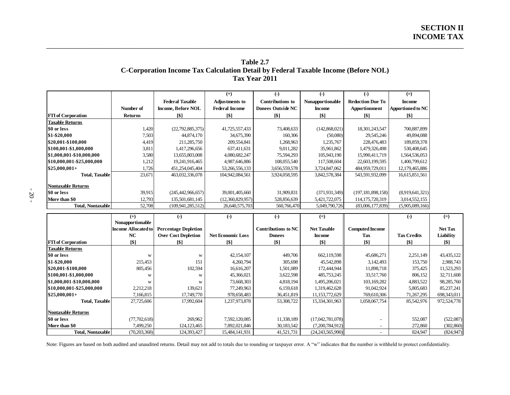### **Table 2.7 C-Corporation Income Tax Calculation Detail by Federal Taxable Income (Before NOL) Tax Year 2011**

\_\_\_\_\_\_\_\_\_\_\_\_\_\_\_\_\_\_\_\_\_\_\_\_\_\_\_\_\_\_\_\_\_\_\_\_\_\_\_\_\_\_\_\_\_\_\_\_\_\_\_\_\_\_\_\_\_\_\_\_\_\_\_\_\_\_\_\_\_\_\_\_\_\_\_\_\_\_\_\_\_\_\_\_\_\_\_\_\_\_\_\_\_\_\_\_\_\_\_\_\_\_\_\_\_\_\_\_

|                           |                |                           | $^{(+)}$              | $(-)$                    | $(-)$             | $(-)$                   | $(=)$                    |
|---------------------------|----------------|---------------------------|-----------------------|--------------------------|-------------------|-------------------------|--------------------------|
|                           |                | <b>Federal Taxable</b>    | Adjustments to        | <b>Contributions to</b>  | Nonapportionable  | <b>Reduction Due To</b> | <b>Income</b>            |
|                           | Number of      | <b>Income, Before NOL</b> | <b>Federal Income</b> | <b>Donees Outside NC</b> | <b>Income</b>     | Apportionment           | <b>Apportioned to NC</b> |
| <b>FTI</b> of Corporation | <b>Returns</b> | <b>[\$]</b>               | [\$]                  | [\$]                     | $\lceil 5 \rceil$ | <b>[\$]</b>             | $\lceil \$ \rceil$       |
| <b>Taxable Returns</b>    |                |                           |                       |                          |                   |                         |                          |
| \$0 or less               | 1,420          | (22, 792, 885, 375)       | 41,725,557,433        | 73,408,633               | (142,868,021)     | 18,301,243,547          | 700,887,899              |
| \$1-\$20,000              | 7,503          | 44,874,170                | 34,675,390            | 160,306                  | (50,080)          | 29,545,246              | 49,894,088               |
| 820,001-\$100,000         | 4,419          | 211,285,750               | 209,554,841           | 1,268,963                | 1,235,767         | 228,476,483             | 189,859,378              |
| \$100,001-\$1,000,000     | 3,811          | 1,417,296,656             | 637,411,631           | 9,011,282                | 35,961,862        | 1,479,326,498           | 530,408,645              |
| \$1,000,001-\$10,000,000  | 3,580          | 13,655,803,008            | 4,080,682,247         | 75,594,293               | 105,943,190       | 15,990,411,719          | 1,564,536,053            |
| \$10,000,001-\$25,000,000 | 1,212          | 19,241,916,465            | 4,987,646,886         | 108,055,540              | 117,508,604       | 22,603,199,595          | 1,400,799,612            |
| $$25,000,001+$            | 1,726          | 451,254,045,404           | 53,266,556,133        | 3,656,559,578            | 3,724,847,062     | 484,959,729,011         | 12,179,465,886           |
| Total, Taxable            | 23,671         | 463,032,336,078           | 104,942,084,561       | 3,924,058,595            | 3,842,578,384     | 543,591,932,099         | 16,615,851,561           |
| Nontaxable Returns        |                |                           |                       |                          |                   |                         |                          |
| \$0 or less               | 39,915         | (245, 442, 966, 657)      | 39,001,405,660        | 31,909,831               | (371.931.349)     | (197, 181, 898, 158)    | (8,919,641,321)          |
| More than \$0             | 12,793         | 135,501,681,145           | (12,360,829,957)      | 528,856,639              | 5,421,722,075     | 114, 175, 720, 319      | 3,014,552,155            |
| Total, Nontaxable         | 52,708         | (109, 941, 285, 512)      | 26,640,575,703        | 560,766,470              | 5,049,790,726     | (83,006,177,839)        | (5,905,089,166)          |

<span id="page-22-0"></span>

| $\sim$   |  |
|----------|--|
| ۰.<br>۰, |  |
|          |  |

|                           | $(+)$               | (-)                         | $(-)$                    | $(-)$               | $(=)$              |                          | $(-)$              | $(=)$          |
|---------------------------|---------------------|-----------------------------|--------------------------|---------------------|--------------------|--------------------------|--------------------|----------------|
|                           | Nonapportionable    |                             |                          |                     |                    |                          |                    |                |
|                           | Income Allocated to | <b>Percentage Depletion</b> |                          | Contributions to NC | <b>Net Taxable</b> | <b>Computed Income</b>   |                    | <b>Net Tax</b> |
|                           | NC                  | <b>Over Cost Depletion</b>  | <b>Net Economic Loss</b> | <b>Donees</b>       | <b>Income</b>      | Tax                      | <b>Tax Credits</b> | Liability      |
| <b>FTI</b> of Corporation | $\lceil $ \rceil$   | [\$]                        | [\$]                     | [\$]                | [\$]               | [\$]                     | [\$]               | [\$]           |
| <b>Taxable Returns</b>    |                     |                             |                          |                     |                    |                          |                    |                |
| \$0 or less               | W                   | W                           | 42, 154, 107             | 449,706             | 662,119,598        | 45,686,271               | 2,251,149          | 43,435,122     |
| \$1-\$20,000              | 215,453             | 151                         | 4,260,794                | 305,698             | 45,542,898         | 3,142,493                | 153,750            | 2,988,743      |
| \$20,001-\$100,000        | 805,456             | 102,594                     | 16,616,207               | 1,501,089           | 172,444,944        | 11,898,718               | 375,425            | 11,523,293     |
| \$100,001-\$1,000,000     | W                   | W                           | 45,366,021               | 3,622,598           | 485,753,245        | 33,517,760               | 806,152            | 32,711,608     |
| \$1,000,001-\$10,000,000  | W                   | W                           | 73,668,303               | 4,818,194           | 1,495,206,021      | 103,169,282              | 4,883,522          | 98,285,760     |
| \$10,000,001-\$25,000,000 | 2,212,218           | 139,621                     | 77,249,963               | 6,159,618           | 1,319,462,628      | 91,042,924               | 5,805,683          | 85,237,241     |
| $$25,000,001+$            | 7,166,815           | 17,749,770                  | 978,658,483              | 36,451,819          | 11, 153, 772, 629  | 769,610,306              | 71,267,295         | 698,343,011    |
| <b>Total, Taxable</b>     | 27,725,606          | 17,992,604                  | 1,237,973,878            | 53,308,722          | 15,334,301,963     | 1,058,067,754            | 85,542,976         | 972,524,778    |
| <b>Nontaxable Returns</b> |                     |                             |                          |                     |                    |                          |                    |                |
| \$0 or less               | (77, 702, 618)      | 269,962                     | 7,592,120,085            | 11,338,189          | (17,042,781,078)   |                          | 552,087            | (522,087)      |
| More than \$0             | 7,499,250           | 124, 123, 465               | 7,892,021,846            | 30,183,542          | (7,200,784,912)    | $\overline{\phantom{a}}$ | 272,860            | (302, 860)     |
| <b>Total, Nontaxable</b>  | (70, 203, 368)      | 124,393,427                 | 15,484,141,931           | 41,521,731          | (24,243,565,990)   |                          | 824,947            | (824, 947)     |

Note: Figures are based on both audited and unaudited returns. Detail may not add to totals due to rounding or taxpayer error. A "w" indicates that the number is withheld to protect confidentiality.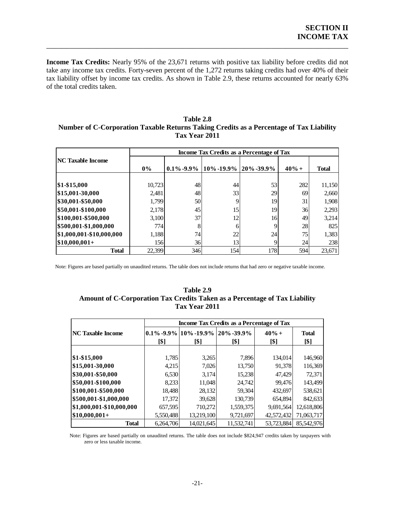**Income Tax Credits:** Nearly 95% of the 23,671 returns with positive tax liability before credits did not take any income tax credits. Forty-seven percent of the 1,272 returns taking credits had over 40% of their tax liability offset by income tax credits. As shown in Table 2.9, these returns accounted for nearly 63% of the total credits taken.

\_\_\_\_\_\_\_\_\_\_\_\_\_\_\_\_\_\_\_\_\_\_\_\_\_\_\_\_\_\_\_\_\_\_\_\_\_\_\_\_\_\_\_\_\_\_\_\_\_\_\_\_\_\_\_\_\_\_\_\_\_\_\_\_\_\_\_\_\_\_\_\_\_\_\_\_\_\_

#### <span id="page-23-0"></span>**Table 2.8 Number of C-Corporation Taxable Returns Taking Credits as a Percentage of Tax Liability Tax Year 2011**

|                          |            | Income Tax Credits as a Percentage of Tax |                         |     |         |              |  |
|--------------------------|------------|-------------------------------------------|-------------------------|-----|---------|--------------|--|
| <b>NC Taxable Income</b> | $0\%$      | $0.1\%$ -9.9%                             | 10% -19.9%   20% -39.9% |     | $40% +$ | <b>Total</b> |  |
| $\$1 - \$15,000$         | 10,723     | 48                                        | 44                      | 53  | 282     | 11,150       |  |
| \$15,001-30,000          | 2,481      | 48                                        | 33                      | 29  | 69      | 2,660        |  |
| \$30,001-\$50,000        | 1,799      | 50                                        |                         | 19  | 31      | 1,908        |  |
| \$50,001-\$100,000       | 2,178      | 45                                        | 15                      | 19  | 36      | 2,293        |  |
| \$100,001-\$500,000      | 3,100      | 37                                        | 12                      | 16  | 49      | 3,214        |  |
| \$500,001-\$1,000,000    | 774        | 8                                         | 6                       | 9   | 28      | 825          |  |
| \$1,000,001-\$10,000,000 | 1,188      | 74                                        | 22                      | 24  | 75      | 1,383        |  |
| $$10,000,001+$           | <b>156</b> | 36                                        | 13                      | 9   | 24      | 238          |  |
| <b>Total</b>             | 22.399     | 346                                       | 154                     | 178 | 594     | 23,671       |  |

<span id="page-23-1"></span>Note: Figures are based partially on unaudited returns. The table does not include returns that had zero or negative taxable income.

#### **Table 2.9 Amount of C-Corporation Tax Credits Taken as a Percentage of Tax Liability Tax Year 2011**

|                          |                                           | 144 1 CAI 2011                                                                |            |                 |                      |  |  |  |  |
|--------------------------|-------------------------------------------|-------------------------------------------------------------------------------|------------|-----------------|----------------------|--|--|--|--|
|                          | Income Tax Credits as a Percentage of Tax |                                                                               |            |                 |                      |  |  |  |  |
| <b>NC Taxable Income</b> | [\$]                                      | $\left 0.1\% 0.99\% \right 10\%$ -19.9% $\left 20\% 0.39.9\% \right $<br>[\$] | [\$]       | $40% +$<br>[\$] | <b>Total</b><br>[\$] |  |  |  |  |
| $$1 - $15,000$           | 1,785                                     | 3,265                                                                         | 7,896      | 134,014         | 146,960              |  |  |  |  |
| \$15,001-30,000          | 4,215                                     | 7,026                                                                         | 13,750     | 91,378          | 116,369              |  |  |  |  |
| \$30,001-\$50,000        | 6,530                                     | 3,174                                                                         | 15,238     | 47,429          | 72,371               |  |  |  |  |
| \$50,001-\$100,000       | 8,233                                     | 11,048                                                                        | 24,742     | 99.476          | 143,499              |  |  |  |  |
| \$100,001-\$500,000      | 18,488                                    | 28,132                                                                        | 59,304     | 432,697         | 538,621              |  |  |  |  |
| \$500,001-\$1,000,000    | 17,372                                    | 39,628                                                                        | 130,739    | 654,894         | 842,633              |  |  |  |  |
| \$1,000,001-\$10,000,000 | 657,595                                   | 710,272                                                                       | 1,559,375  | 9,691,564       | 12,618,806           |  |  |  |  |
| $$10,000,001+$           | 5,550,488                                 | 13,219,100                                                                    | 9,721,697  | 42,572,432      | 71,063,717           |  |  |  |  |
| <b>Total</b>             | 6.264.706                                 | 14.021.645                                                                    | 11.532.741 | 53,723,884      | 85.542.976           |  |  |  |  |

Note: Figures are based partially on unaudited returns. The table does not include \$824,947 credits taken by taxpayers with zero or less taxable income.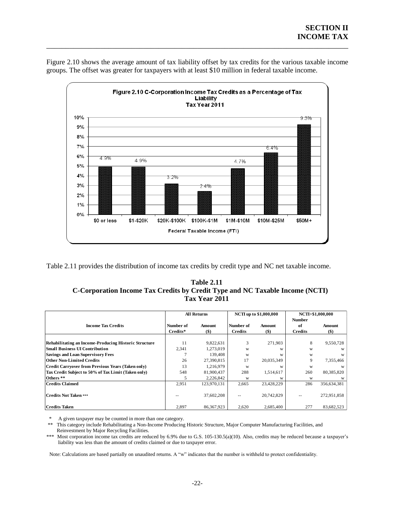

Figure 2.10 shows the average amount of tax liability offset by tax credits for the various taxable income groups. The offset was greater for taxpayers with at least \$10 million in federal taxable income.

\_\_\_\_\_\_\_\_\_\_\_\_\_\_\_\_\_\_\_\_\_\_\_\_\_\_\_\_\_\_\_\_\_\_\_\_\_\_\_\_\_\_\_\_\_\_\_\_\_\_\_\_\_\_\_\_\_\_\_\_\_\_\_\_\_\_\_\_\_\_\_\_\_\_\_\_\_\_

<span id="page-24-1"></span><span id="page-24-0"></span>Table 2.11 provides the distribution of income tax credits by credit type and NC net taxable income.

| <b>Table 2.11</b>                                                            |
|------------------------------------------------------------------------------|
| C-Corporation Income Tax Credits by Credit Type and NC Taxable Income (NCTI) |
| Tax Year 2011                                                                |

|                                                              |           | <b>All Returns</b> |                | <b>NCTI</b> up to \$1,000,000 | NCTI>\$1,000,000 |             |
|--------------------------------------------------------------|-----------|--------------------|----------------|-------------------------------|------------------|-------------|
|                                                              |           |                    |                |                               | <b>Number</b>    |             |
| <b>Income Tax Credits</b>                                    | Number of | Amount             | Number of      | Amount                        | of               | Amount      |
|                                                              | Credits*  | $($ \$)            | <b>Credits</b> | $($ \$)                       | <b>Credits</b>   | $($ \$      |
|                                                              |           |                    |                |                               |                  |             |
| <b>Rehabilitating an Income-Producing Historic Structure</b> | 11        | 9,822,631          | 3              | 271,903                       | 8                | 9,550,728   |
| <b>Small Business UI Contribution</b>                        | 2,341     | 1,273,019          | W              | W                             | W                | W           |
| <b>Savings and Loan Supervisory Fees</b>                     |           | 139,408            | W              | W                             | W                | W           |
| <b>Other Non-Limited Credits</b>                             | 26        | 27,390,815         | 17             | 20,035,349                    | 9                | 7,355,466   |
| <b>Credit Carryover from Previous Years (Taken only)</b>     | 13        | 1,216,979          | W              | W                             | W                |             |
| Tax Credit Subject to 50% of Tax Limit (Taken only)          | 548       | 81,900,437         | 288            | 1,514,617                     | 260              | 80,385,820  |
| Others <sup>**</sup>                                         |           | 2,226,842          | W              | W                             | W                |             |
| <b>Credits Claimed</b>                                       | 2,951     | 123,970,131        | 2,665          | 23,428,229                    | 286              | 356,634,381 |
|                                                              |           |                    |                |                               |                  |             |
| <b>Credits Not Taken ***</b>                                 |           | 37,602,208         | --             | 20,742,829                    |                  | 272,951,858 |
|                                                              |           |                    |                |                               |                  |             |
| <b>Credits Taken</b>                                         | 2.897     | 86.367.923         | 2.620          | 2.685.400                     | 277              | 83,682,523  |

\* A given taxpayer may be counted in more than one category.

This category include Rehabilitating a Non-Income Producing Historic Structure, Major Computer Manufacturing Facilities, and Reinvestment by Major Recycling Facilities.

\*\*\* Most corporation income tax credits are reduced by 6.9% due to G.S. 105-130.5(a)(10). Also, credits may be reduced because a taxpayer's liability was less than the amount of credits claimed or due to taxpayer error.

Note: Calculations are based partially on unaudited returns. A "w" indicates that the number is withheld to protect confidentiality.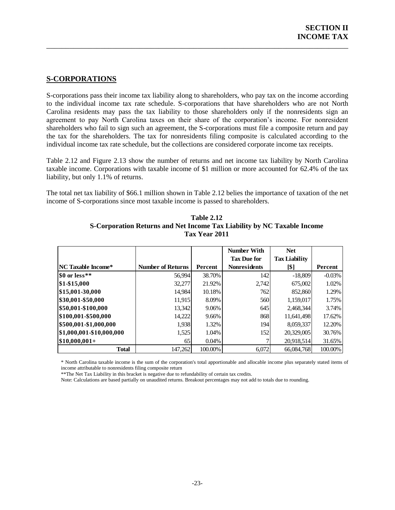### <span id="page-25-0"></span>**S-CORPORATIONS**

S-corporations pass their income tax liability along to shareholders, who pay tax on the income according to the individual income tax rate schedule. S-corporations that have shareholders who are not North Carolina residents may pass the tax liability to those shareholders only if the nonresidents sign an agreement to pay North Carolina taxes on their share of the corporation's income. For nonresident shareholders who fail to sign such an agreement, the S-corporations must file a composite return and pay the tax for the shareholders. The tax for nonresidents filing composite is calculated according to the individual income tax rate schedule, but the collections are considered corporate income tax receipts.

\_\_\_\_\_\_\_\_\_\_\_\_\_\_\_\_\_\_\_\_\_\_\_\_\_\_\_\_\_\_\_\_\_\_\_\_\_\_\_\_\_\_\_\_\_\_\_\_\_\_\_\_\_\_\_\_\_\_\_\_\_\_\_\_\_\_\_\_\_\_\_\_\_\_\_\_\_\_

Table 2.12 and Figure 2.13 show the number of returns and net income tax liability by North Carolina taxable income. Corporations with taxable income of \$1 million or more accounted for 62.4% of the tax liability, but only 1.1% of returns.

<span id="page-25-1"></span>The total net tax liability of \$66.1 million shown in Table 2.12 belies the importance of taxation of the net income of S-corporations since most taxable income is passed to shareholders.

|                           |                          |                | <b>Number With</b>  | <b>Net</b>           |          |
|---------------------------|--------------------------|----------------|---------------------|----------------------|----------|
|                           |                          |                | <b>Tax Due for</b>  | <b>Tax Liability</b> |          |
| <b>NC Taxable Income*</b> | <b>Number of Returns</b> | <b>Percent</b> | <b>Nonresidents</b> | [\$]                 | Percent  |
| SO or less**              | 56,994                   | 38.70%         | 142                 | $-18,809$            | $-0.03%$ |
| $$1 - $15,000$            | 32,277                   | 21.92%         | 2,742               | 675,002              | 1.02%    |
| \$15,001-30,000           | 14,984                   | 10.18%         | 762                 | 852,860              | 1.29%    |
| \$30,001-\$50,000         | 11,915                   | 8.09%          | 560                 | 1,159,017            | 1.75%    |
| \$50,001-\$100,000        | 13,342                   | 9.06%          | 645                 | 2,468,344            | 3.74%    |
| \$100,001-\$500,000       | 14,222                   | 9.66%          | 868                 | 11,641,498           | 17.62%   |
| \$500,001-\$1,000,000     | 1,938                    | 1.32%          | 194                 | 8,059,337            | 12.20%   |
| \$1,000,001-\$10,000,000  | 1,525                    | 1.04%          | 152                 | 20,329,005           | 30.76%   |
| $ $10,000,001+$           | 65                       | $0.04\%$       |                     | 20,918,514           | 31.65%   |
| <b>Total</b>              | 147.262                  | 100.00%        | 6.072               | 66,084,768           | 100.00%  |

**Table 2.12 S-Corporation Returns and Net Income Tax Liability by NC Taxable Income Tax Year 2011**

\* North Carolina taxable income is the sum of the corporation's total apportionable and allocable income plus separately stated items of income attributable to nonresidents filing composite return

\*\*The Net Tax Liability in this bracket is negative due to refundability of certain tax credits.

<span id="page-25-2"></span>Note: Calculations are based partially on unaudited returns. Breakout percentages may not add to totals due to rounding.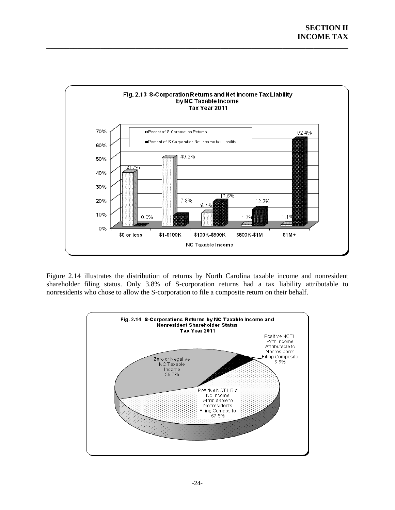

Figure 2.14 illustrates the distribution of returns by North Carolina taxable income and nonresident shareholder filing status. Only 3.8% of S-corporation returns had a tax liability attributable to nonresidents who chose to allow the S-corporation to file a composite return on their behalf.

<span id="page-26-0"></span>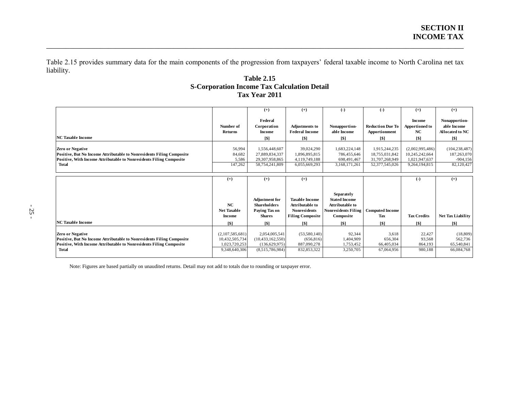Table 2.15 provides summary data for the main components of the progression from taxpayers' federal taxable income to North Carolina net tax liability.

\_\_\_\_\_\_\_\_\_\_\_\_\_\_\_\_\_\_\_\_\_\_\_\_\_\_\_\_\_\_\_\_\_\_\_\_\_\_\_\_\_\_\_\_\_\_\_\_\_\_\_\_\_\_\_\_\_\_\_\_\_\_\_\_\_\_\_\_\_\_\_\_\_\_\_\_\_\_\_\_\_\_\_\_\_\_\_\_\_\_\_\_\_\_\_\_\_\_\_\_\_\_\_\_\_\_\_\_

### **Table 2.15 S-Corporation Income Tax Calculation Detail Tax Year 2011**

<span id="page-27-0"></span>

|                                                                                                                                                                                         |                                                                     | $(+)$                                                                                       | $(+)$                                                                                                          | $(-)$                                                                                                                | $(-)$                                                               | $(=)$                                                               | $(+)$                                                       |
|-----------------------------------------------------------------------------------------------------------------------------------------------------------------------------------------|---------------------------------------------------------------------|---------------------------------------------------------------------------------------------|----------------------------------------------------------------------------------------------------------------|----------------------------------------------------------------------------------------------------------------------|---------------------------------------------------------------------|---------------------------------------------------------------------|-------------------------------------------------------------|
| <b>NC Taxable Income</b>                                                                                                                                                                | Number of<br><b>Returns</b>                                         | Federal<br>Corporation<br><b>Income</b>                                                     | <b>Adjustments to</b><br><b>Federal Income</b>                                                                 | Nonapportion-<br>able Income                                                                                         | <b>Reduction Due To</b><br>Apportionment                            | Income<br><b>Apportioned to</b><br>NC                               | Nonapportion-<br>able Income<br>Allocated to NC             |
|                                                                                                                                                                                         |                                                                     | <b>S1</b>                                                                                   | <b>S1</b>                                                                                                      | <b>S1</b>                                                                                                            | <b>S1</b>                                                           | <b>S1</b>                                                           | [\$]                                                        |
| <b>Zero or Negative</b><br>Positive, But No Income Attributable to Nonresidents Filing Composite<br>Positive, With Income Attributable to Nonresidents Filing Composite<br><b>Total</b> | 56,994<br>84,682<br>5,586<br>147,262                                | 1,556,448,607<br>27,889,834,337<br>29,307,958,865<br>58,754,241,809                         | 39,024,290<br>1,896,895,815<br>4,119,749,188<br>6,055,669,293                                                  | 1,683,224,148<br>786,455,646<br>698,491,467<br>3,168,171,261                                                         | 1,915,244,235<br>18,755,031,842<br>31,707,268,949<br>52,377,545,026 | (2,002,995,486)<br>10,245,242,664<br>1,021,947,637<br>9,264,194,815 | (104, 238, 487)<br>187,263,070<br>$-904, 156$<br>82,120,427 |
|                                                                                                                                                                                         | $(=)$                                                               | $(+)$                                                                                       | $(=)$                                                                                                          |                                                                                                                      |                                                                     | $\left( -\right)$                                                   | $(=)$                                                       |
| <b>NC Taxable Income</b>                                                                                                                                                                | NC<br><b>Net Taxable</b><br>Income<br>S <sub>1</sub>                | <b>Adjustment</b> for<br><b>Shareholders</b><br>Paying Tax on<br><b>Shares</b><br><b>S1</b> | <b>Taxable Income</b><br><b>Attributable to</b><br><b>Nonresidents</b><br><b>Filing Composite</b><br><b>S1</b> | <b>Separately</b><br><b>Stated Income</b><br>Attributable to<br><b>Nonresidents Filing</b><br>Composite<br><b>S1</b> | <b>Computed Income</b><br>Tax<br>S <sub>1</sub>                     | <b>Tax Credits</b><br><b>S1</b>                                     | <b>Net Tax Liability</b><br>[\$]                            |
| <b>Zero or Negative</b><br>Positive, But No Income Attributable to Nonresidents Filing Composite<br>Positive, With Income Attributable to Nonresidents Filing Composite<br><b>Total</b> | (2,107,585,681)<br>10,432,505,734<br>1,023,720,253<br>9,348,640,306 | 2,054,005,541<br>(10, 433, 162, 550)<br>(136,629,975)<br>(8,515,786,984)                    | (53,580,140)<br>(656, 816)<br>887,090,278<br>832, 853, 322                                                     | 92,344<br>1,404,909<br>1,753,452<br>3,250,705                                                                        | 3,618<br>656,304<br>66,405,034<br>67,064,956                        | 22,427<br>93.568<br>864,193<br>980,188                              | (18, 809)<br>562,736<br>65,540,841<br>66,084,768            |

Note: Figures are based partially on unaudited returns. Detail may not add to totals due to rounding or taxpayer error.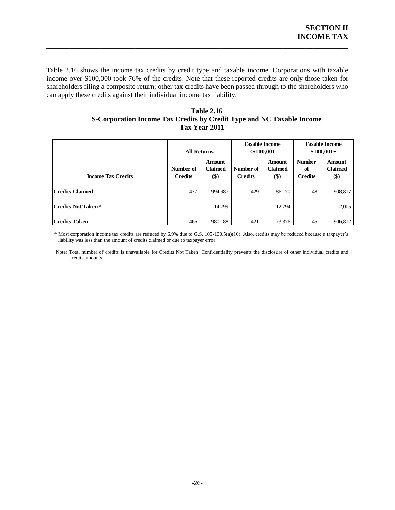Table 2.16 shows the income tax credits by credit type and taxable income. Corporations with taxable income over \$100,000 took 76% of the credits. Note that these reported credits are only those taken for shareholders filing a composite return; other tax credits have been passed through to the shareholders who can apply these credits against their individual income tax liability.

\_\_\_\_\_\_\_\_\_\_\_\_\_\_\_\_\_\_\_\_\_\_\_\_\_\_\_\_\_\_\_\_\_\_\_\_\_\_\_\_\_\_\_\_\_\_\_\_\_\_\_\_\_\_\_\_\_\_\_\_\_\_\_\_\_\_\_\_\_\_\_\_\_\_\_\_\_\_

#### **Table 2.16 S-Corporation Income Tax Credits by Credit Type and NC Taxable Income Tax Year 2011**

<span id="page-28-0"></span>

|                            | <b>All Returns</b>                    |                                        | <b>Taxable Income</b><br>$<$ \$100,001 |                                 | <b>Taxable Income</b><br>$$100,001+$  |                                        |
|----------------------------|---------------------------------------|----------------------------------------|----------------------------------------|---------------------------------|---------------------------------------|----------------------------------------|
| <b>Income Tax Credits</b>  | Number of<br><b>Credits</b>           | <b>Amount</b><br><b>Claimed</b><br>\$) | Number of<br><b>Credits</b>            | Amount<br><b>Claimed</b><br>\$) | <b>Number</b><br>of<br><b>Credits</b> | <b>Amount</b><br><b>Claimed</b><br>\$) |
| <b>Credits Claimed</b>     | 477                                   | 994,987                                | 429                                    | 86,170                          | 48                                    | 908,817                                |
| <b>Credits Not Taken *</b> | $\hspace{0.05cm}$ – $\hspace{0.05cm}$ | 14,799                                 | --                                     | 12,794                          | --                                    | 2,005                                  |
| <b>Credits Taken</b>       | 466                                   | 980,188                                | 421                                    | 73,376                          | 45                                    | 906,812                                |

 \* Most corporation income tax credits are reduced by 6.9% due to G.S. 105-130.5(a)(10). Also, credits may be reduced because a taxpayer's liability was less than the amount of credits claimed or due to taxpayer error.

Note: Total number of credits is unavailable for Credits Not Taken. Confidentiality prevents the disclosure of other individual credits and credits amounts.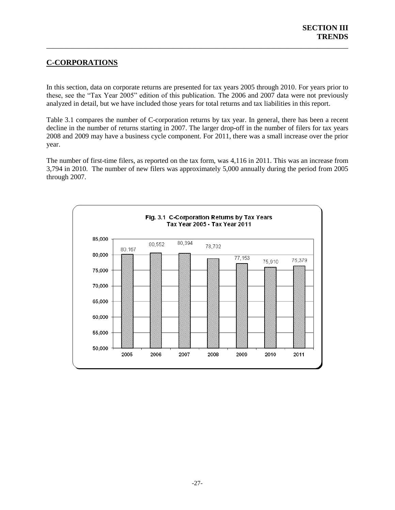# <span id="page-29-0"></span>**C-CORPORATIONS**

In this section, data on corporate returns are presented for tax years 2005 through 2010. For years prior to these, see the "Tax Year 2005" edition of this publication. The 2006 and 2007 data were not previously analyzed in detail, but we have included those years for total returns and tax liabilities in this report.

\_\_\_\_\_\_\_\_\_\_\_\_\_\_\_\_\_\_\_\_\_\_\_\_\_\_\_\_\_\_\_\_\_\_\_\_\_\_\_\_\_\_\_\_\_\_\_\_\_\_\_\_\_\_\_\_\_\_\_\_\_\_\_\_\_\_\_\_\_\_\_\_\_\_\_\_\_\_

Table 3.1 compares the number of C-corporation returns by tax year. In general, there has been a recent decline in the number of returns starting in 2007. The larger drop-off in the number of filers for tax years 2008 and 2009 may have a business cycle component. For 2011, there was a small increase over the prior year.

The number of first-time filers, as reported on the tax form, was 4,116 in 2011. This was an increase from 3,794 in 2010. The number of new filers was approximately 5,000 annually during the period from 2005 through 2007.

<span id="page-29-2"></span><span id="page-29-1"></span>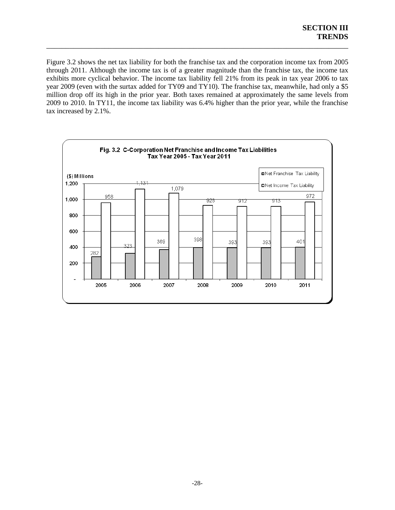Figure 3.2 shows the net tax liability for both the franchise tax and the corporation income tax from 2005 through 2011. Although the income tax is of a greater magnitude than the franchise tax, the income tax exhibits more cyclical behavior. The income tax liability fell 21% from its peak in tax year 2006 to tax year 2009 (even with the surtax added for TY09 and TY10). The franchise tax, meanwhile, had only a \$5 million drop off its high in the prior year. Both taxes remained at approximately the same levels from 2009 to 2010. In TY11, the income tax liability was 6.4% higher than the prior year, while the franchise tax increased by 2.1%.

\_\_\_\_\_\_\_\_\_\_\_\_\_\_\_\_\_\_\_\_\_\_\_\_\_\_\_\_\_\_\_\_\_\_\_\_\_\_\_\_\_\_\_\_\_\_\_\_\_\_\_\_\_\_\_\_\_\_\_\_\_\_\_\_\_\_\_\_\_\_\_\_\_\_\_\_\_\_

<span id="page-30-0"></span>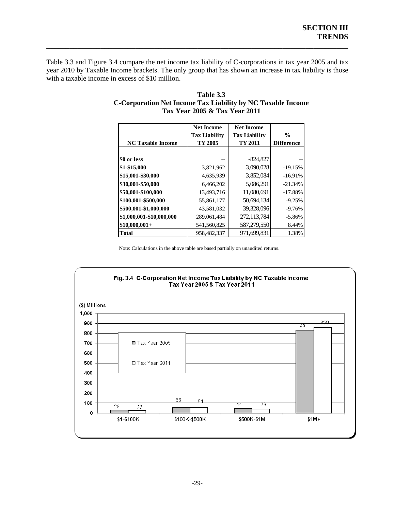Table 3.3 and Figure 3.4 compare the net income tax liability of C-corporations in tax year 2005 and tax year 2010 by Taxable Income brackets. The only group that has shown an increase in tax liability is those with a taxable income in excess of \$10 million.

\_\_\_\_\_\_\_\_\_\_\_\_\_\_\_\_\_\_\_\_\_\_\_\_\_\_\_\_\_\_\_\_\_\_\_\_\_\_\_\_\_\_\_\_\_\_\_\_\_\_\_\_\_\_\_\_\_\_\_\_\_\_\_\_\_\_\_\_\_\_\_\_\_\_\_\_\_\_

|                          | <b>Net Income</b>    | <b>Net Income</b>    |                   |
|--------------------------|----------------------|----------------------|-------------------|
|                          | <b>Tax Liability</b> | <b>Tax Liability</b> | $\frac{0}{0}$     |
| <b>NC Taxable Income</b> | TY 2005              | TY 2011              | <b>Difference</b> |
|                          |                      |                      |                   |
| \$0 or less              |                      | $-824,827$           |                   |
| \$1-\$15,000             | 3,821,962            | 3,090,028            | $-19.15%$         |
| \$15,001-\$30,000        | 4,635,939            | 3,852,084            | $-16.91%$         |
| \$30,001-\$50,000        | 6.466.202            | 5.086.291            | $-21.34%$         |
| \$50,001-\$100,000       | 13,493,716           | 11,080,691           | $-17.88%$         |
| \$100,001-\$500,000      | 55,861,177           | 50.694.134           | $-9.25%$          |
| \$500,001-\$1,000,000    | 43,581,032           | 39,328,096           | $-9.76%$          |
| \$1,000,001-\$10,000,000 | 289,061,484          | 272,113,784          | $-5.86%$          |
| $$10,000,001+$           | 541,560,825          | 587,279,550          | 8.44%             |
| <b>Total</b>             | 958.482.337          | 971,699,831          | 1.38%             |

#### **Table 3.3 C-Corporation Net Income Tax Liability by NC Taxable Income Tax Year 2005 & Tax Year 2011**

Note: Calculations in the above table are based partially on unaudited returns.

<span id="page-31-0"></span>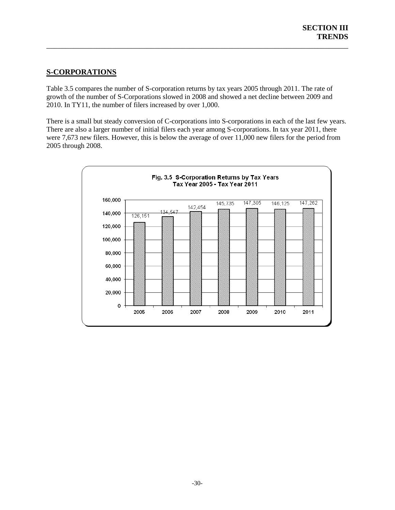# **S-CORPORATIONS**

Table 3.5 compares the number of S-corporation returns by tax years 2005 through 2011. The rate of growth of the number of S-Corporations slowed in 2008 and showed a net decline between 2009 and 2010. In TY11, the number of filers increased by over 1,000.

\_\_\_\_\_\_\_\_\_\_\_\_\_\_\_\_\_\_\_\_\_\_\_\_\_\_\_\_\_\_\_\_\_\_\_\_\_\_\_\_\_\_\_\_\_\_\_\_\_\_\_\_\_\_\_\_\_\_\_\_\_\_\_\_\_\_\_\_\_\_\_\_\_\_\_\_\_\_

There is a small but steady conversion of C-corporations into S-corporations in each of the last few years. There are also a larger number of initial filers each year among S-corporations. In tax year 2011, there were 7,673 new filers. However, this is below the average of over 11,000 new filers for the period from 2005 through 2008.

<span id="page-32-0"></span>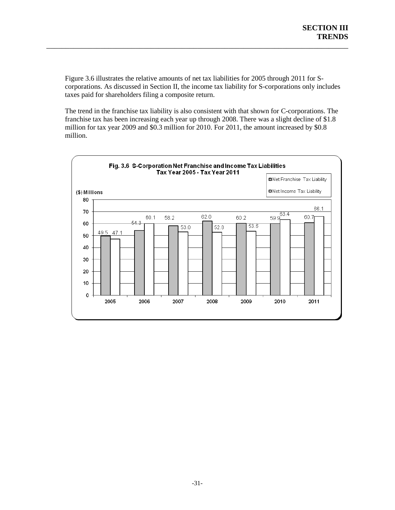Figure 3.6 illustrates the relative amounts of net tax liabilities for 2005 through 2011 for Scorporations. As discussed in Section II, the income tax liability for S-corporations only includes taxes paid for shareholders filing a composite return.

\_\_\_\_\_\_\_\_\_\_\_\_\_\_\_\_\_\_\_\_\_\_\_\_\_\_\_\_\_\_\_\_\_\_\_\_\_\_\_\_\_\_\_\_\_\_\_\_\_\_\_\_\_\_\_\_\_\_\_\_\_\_\_\_\_\_\_\_\_\_\_\_\_\_\_\_\_\_

The trend in the franchise tax liability is also consistent with that shown for C-corporations. The franchise tax has been increasing each year up through 2008. There was a slight decline of \$1.8 million for tax year 2009 and \$0.3 million for 2010. For 2011, the amount increased by \$0.8 million.

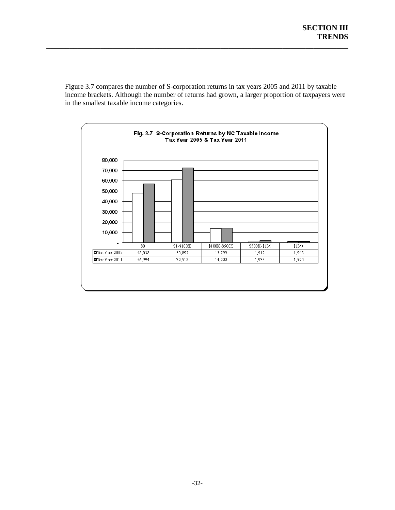Figure 3.7 compares the number of S-corporation returns in tax years 2005 and 2011 by taxable income brackets. Although the number of returns had grown, a larger proportion of taxpayers were in the smallest taxable income categories.

\_\_\_\_\_\_\_\_\_\_\_\_\_\_\_\_\_\_\_\_\_\_\_\_\_\_\_\_\_\_\_\_\_\_\_\_\_\_\_\_\_\_\_\_\_\_\_\_\_\_\_\_\_\_\_\_\_\_\_\_\_\_\_\_\_\_\_\_\_\_\_\_\_\_\_\_\_\_

<span id="page-34-0"></span>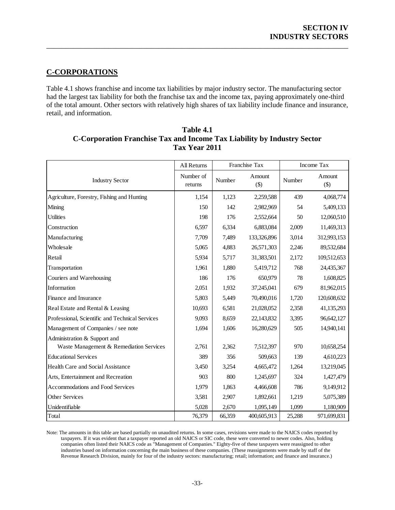# **C-CORPORATIONS**

Table 4.1 shows franchise and income tax liabilities by major industry sector. The manufacturing sector had the largest tax liability for both the franchise tax and the income tax, paying approximately one-third of the total amount. Other sectors with relatively high shares of tax liability include finance and insurance, retail, and information.

\_\_\_\_\_\_\_\_\_\_\_\_\_\_\_\_\_\_\_\_\_\_\_\_\_\_\_\_\_\_\_\_\_\_\_\_\_\_\_\_\_\_\_\_\_\_\_\_\_\_\_\_\_\_\_\_\_\_\_\_\_\_\_\_\_\_\_\_\_\_\_\_\_\_\_\_\_\_

|                                                 | All Returns          |        | Franchise Tax     |        | Income Tax        |
|-------------------------------------------------|----------------------|--------|-------------------|--------|-------------------|
| <b>Industry Sector</b>                          | Number of<br>returns | Number | Amount<br>$($ \$) | Number | Amount<br>$($ \$) |
| Agriculture, Forestry, Fishing and Hunting      | 1,154                | 1,123  | 2,259,588         | 439    | 4,068,774         |
| Mining                                          | 150                  | 142    | 2,982,969         | 54     | 5,409,133         |
| <b>Utilities</b>                                | 198                  | 176    | 2,552,664         | 50     | 12,060,510        |
| Construction                                    | 6,597                | 6,334  | 6,883,084         | 2,009  | 11,469,313        |
| Manufacturing                                   | 7,709                | 7,489  | 133,326,896       | 3,014  | 312,993,153       |
| Wholesale                                       | 5,065                | 4,883  | 26,571,303        | 2,246  | 89,532,684        |
| Retail                                          | 5,934                | 5,717  | 31,383,501        | 2,172  | 109,512,653       |
| Transportation                                  | 1,961                | 1,880  | 5,419,712         | 768    | 24,435,367        |
| Couriers and Warehousing                        | 186                  | 176    | 650,979           | 78     | 1,608,825         |
| Information                                     | 2,051                | 1,932  | 37,245,041        | 679    | 81,962,015        |
| Finance and Insurance                           | 5,803                | 5,449  | 70,490,016        | 1,720  | 120,608,632       |
| Real Estate and Rental & Leasing                | 10,693               | 6,581  | 21,028,052        | 2,358  | 41,135,293        |
| Professional, Scientific and Technical Services | 9,093                | 8,659  | 22,143,832        | 3,395  | 96,642,127        |
| Management of Companies / see note              | 1,694                | 1,606  | 16,280,629        | 505    | 14,940,141        |
| Administration & Support and                    |                      |        |                   |        |                   |
| Waste Management & Remediation Services         | 2,761                | 2,362  | 7,512,397         | 970    | 10,658,254        |
| <b>Educational Services</b>                     | 389                  | 356    | 509,663           | 139    | 4,610,223         |
| Health Care and Social Assistance               | 3,450                | 3,254  | 4,665,472         | 1,264  | 13,219,045        |
| Arts, Entertainment and Recreation              | 903                  | 800    | 1,245,697         | 324    | 1,427,479         |
| Accommodations and Food Services                | 1,979                | 1,863  | 4,466,608         | 786    | 9,149,912         |
| Other Services                                  | 3,581                | 2,907  | 1,892,661         | 1,219  | 5,075,389         |
| Unidentifiable                                  | 5,028                | 2,670  | 1,095,149         | 1,099  | 1,180,909         |
| Total                                           | 76,379               | 66,359 | 400,605,913       | 25,288 | 971,699,831       |

| Table 4.1                                                               |
|-------------------------------------------------------------------------|
| C-Corporation Franchise Tax and Income Tax Liability by Industry Sector |
| Tax Year 2011                                                           |

Note: The amounts in this table are based partially on unaudited returns. In some cases, revisions were made to the NAICS codes reported by taxpayers. If it was evident that a taxpayer reported an old NAICS or SIC code, these were converted to newer codes. Also, holding companies often listed their NAICS code as "Management of Companies." Eighty-five of these taxpayers were reassigned to other industries based on information concerning the main business of these companies. (These reassignments were made by staff of the Revenue Research Division, mainly for four of the industry sectors: manufacturing; retail; information; and finance and insurance.)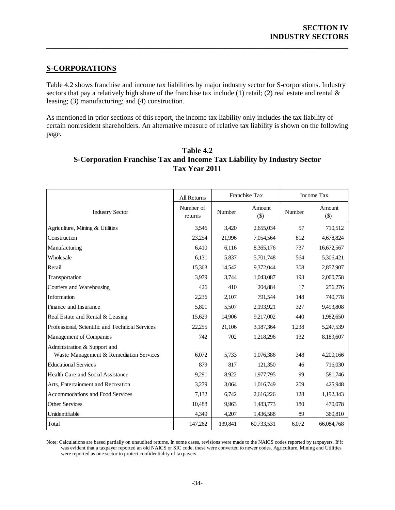# **S-CORPORATIONS**

Table 4.2 shows franchise and income tax liabilities by major industry sector for S-corporations. Industry sectors that pay a relatively high share of the franchise tax include (1) retail; (2) real estate and rental  $\&$ leasing; (3) manufacturing; and (4) construction.

\_\_\_\_\_\_\_\_\_\_\_\_\_\_\_\_\_\_\_\_\_\_\_\_\_\_\_\_\_\_\_\_\_\_\_\_\_\_\_\_\_\_\_\_\_\_\_\_\_\_\_\_\_\_\_\_\_\_\_\_\_\_\_\_\_\_\_\_\_\_\_\_\_\_\_\_\_\_

As mentioned in prior sections of this report, the income tax liability only includes the tax liability of certain nonresident shareholders. An alternative measure of relative tax liability is shown on the following page.

|                                                 | All Returns          | Franchise Tax |                  |        | Income Tax       |
|-------------------------------------------------|----------------------|---------------|------------------|--------|------------------|
| <b>Industry Sector</b>                          | Number of<br>returns | Number        | Amount<br>$($ \$ | Number | Amount<br>$(\$)$ |
| Agriculture, Mining & Utilities                 | 3,546                | 3,420         | 2,655,034        | 57     | 710,512          |
| Construction                                    | 23,254               | 21,996        | 7,054,564        | 812    | 4,678,824        |
| Manufacturing                                   | 6,410                | 6,116         | 8,365,176        | 737    | 16,672,567       |
| Wholesale                                       | 6,131                | 5,837         | 5,701,748        | 564    | 5,306,421        |
| Retail                                          | 15,363               | 14,542        | 9,372,044        | 308    | 2,857,907        |
| Transportation                                  | 3,979                | 3,744         | 1,043,087        | 193    | 2,000,758        |
| Couriers and Warehousing                        | 426                  | 410           | 204,884          | 17     | 256,276          |
| Information                                     | 2,236                | 2,107         | 791,544          | 148    | 740,778          |
| Finance and Insurance                           | 5,801                | 5,507         | 2,193,921        | 327    | 9,493,808        |
| Real Estate and Rental & Leasing                | 15,629               | 14,906        | 9,217,002        | 440    | 1,982,650        |
| Professional, Scientific and Technical Services | 22,255               | 21,106        | 3,187,364        | 1,238  | 5,247,539        |
| Management of Companies                         | 742                  | 702           | 1,218,296        | 132    | 8,189,607        |
| Administration & Support and                    |                      |               |                  |        |                  |
| Waste Management & Remediation Services         | 6,072                | 5,733         | 1,076,386        | 348    | 4,200,166        |
| <b>Educational Services</b>                     | 879                  | 817           | 121,350          | 46     | 716,030          |
| Health Care and Social Assistance               | 9,291                | 8,922         | 1,977,795        | 99     | 581,746          |
| Arts, Entertainment and Recreation              | 3,279                | 3,064         | 1,016,749        | 209    | 425,948          |
| Accommodations and Food Services                | 7,132                | 6,742         | 2,616,226        | 128    | 1,192,343        |
| Other Services                                  | 10,488               | 9,963         | 1,483,773        | 180    | 470,078          |
| Unidentifiable                                  | 4,349                | 4,207         | 1,436,588        | 89     | 360,810          |
| Total                                           | 147,262              | 139,841       | 60,733,531       | 6,072  | 66,084,768       |

| Table 4.2                                                               |
|-------------------------------------------------------------------------|
| S-Corporation Franchise Tax and Income Tax Liability by Industry Sector |
| Tax Year 2011                                                           |

Note: Calculations are based partially on unaudited returns. In some cases, revisions were made to the NAICS codes reported by taxpayers. If it was evident that a taxpayer reported an old NAICS or SIC code, these were converted to newer codes. Agriculture, Mining and Utilities were reported as one sector to protect confidentiality of taxpayers.